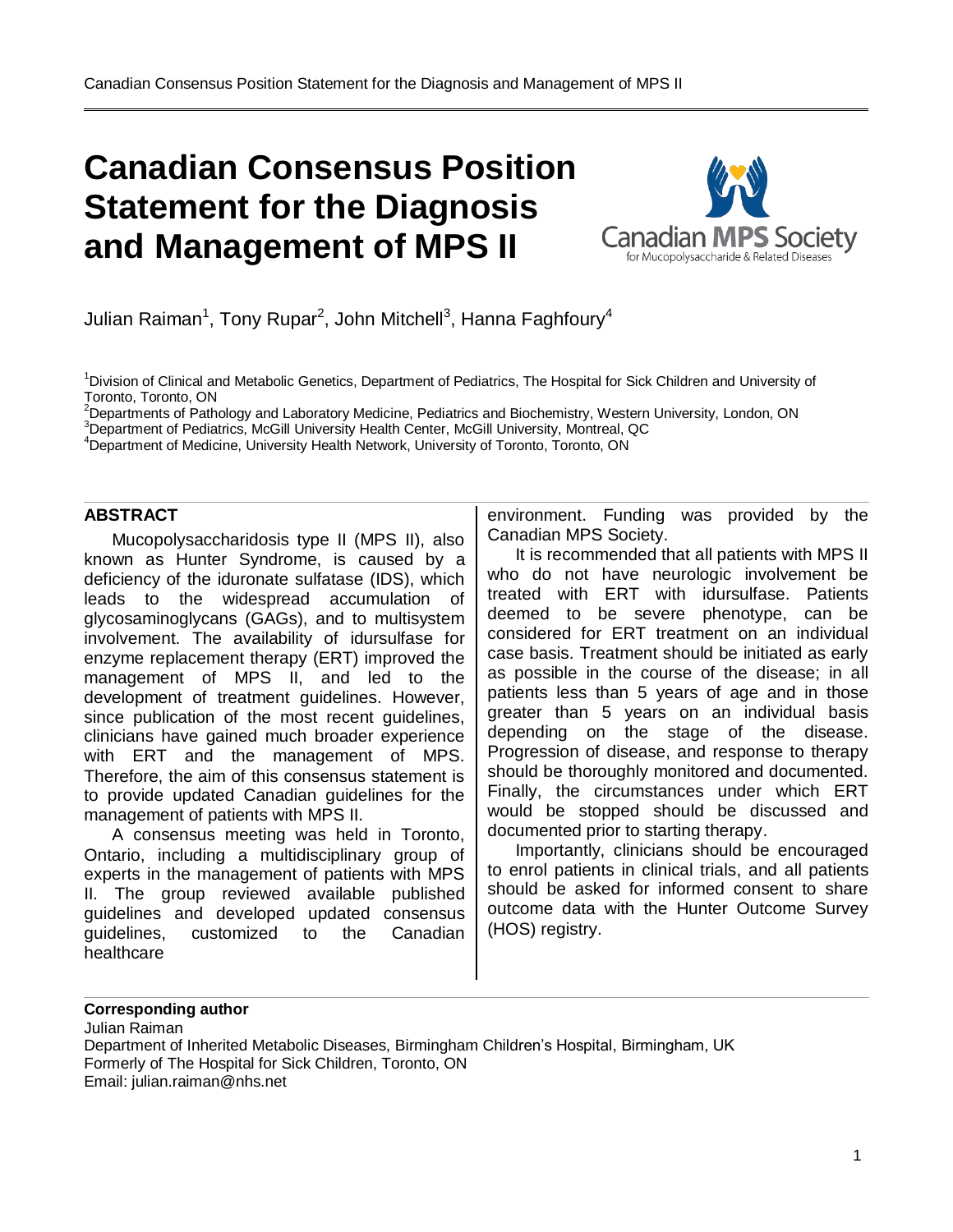

Julian Raiman $^1$ , Tony Rupar $^2$ , John Mitchell $^3$ , Hanna Faghfoury $^4$ 

<sup>1</sup>Division of Clinical and Metabolic Genetics, Department of Pediatrics, The Hospital for Sick Children and University of Toronto, Toronto, ON

<sup>2</sup>Departments of Pathology and Laboratory Medicine, Pediatrics and Biochemistry, Western University, London, ON

<sup>3</sup>Department of Pediatrics, McGill University Health Center, McGill University, Montreal, QC

<sup>4</sup>Department of Medicine, University Health Network, University of Toronto, Toronto, ON

#### **ABSTRACT**

Mucopolysaccharidosis type II (MPS II), also known as Hunter Syndrome, is caused by a deficiency of the iduronate sulfatase (IDS), which leads to the widespread accumulation of glycosaminoglycans (GAGs), and to multisystem involvement. The availability of idursulfase for enzyme replacement therapy (ERT) improved the management of MPS II, and led to the development of treatment guidelines. However, since publication of the most recent guidelines, clinicians have gained much broader experience with ERT and the management of MPS. Therefore, the aim of this consensus statement is to provide updated Canadian guidelines for the management of patients with MPS II.

A consensus meeting was held in Toronto, Ontario, including a multidisciplinary group of experts in the management of patients with MPS II. The group reviewed available published guidelines and developed updated consensus guidelines, customized to the Canadian healthcare

environment. Funding was provided by the Canadian MPS Society.

It is recommended that all patients with MPS II who do not have neurologic involvement be treated with ERT with idursulfase. Patients deemed to be severe phenotype, can be considered for ERT treatment on an individual case basis. Treatment should be initiated as early as possible in the course of the disease; in all patients less than 5 years of age and in those greater than 5 years on an individual basis depending on the stage of the disease. Progression of disease, and response to therapy should be thoroughly monitored and documented. Finally, the circumstances under which ERT would be stopped should be discussed and documented prior to starting therapy.

Importantly, clinicians should be encouraged to enrol patients in clinical trials, and all patients should be asked for informed consent to share outcome data with the Hunter Outcome Survey (HOS) registry.

#### **Corresponding author**

Julian Raiman Department of Inherited Metabolic Diseases, Birmingham Children's Hospital, Birmingham, UK Formerly of The Hospital for Sick Children, Toronto, ON Email: julian.raiman@nhs.net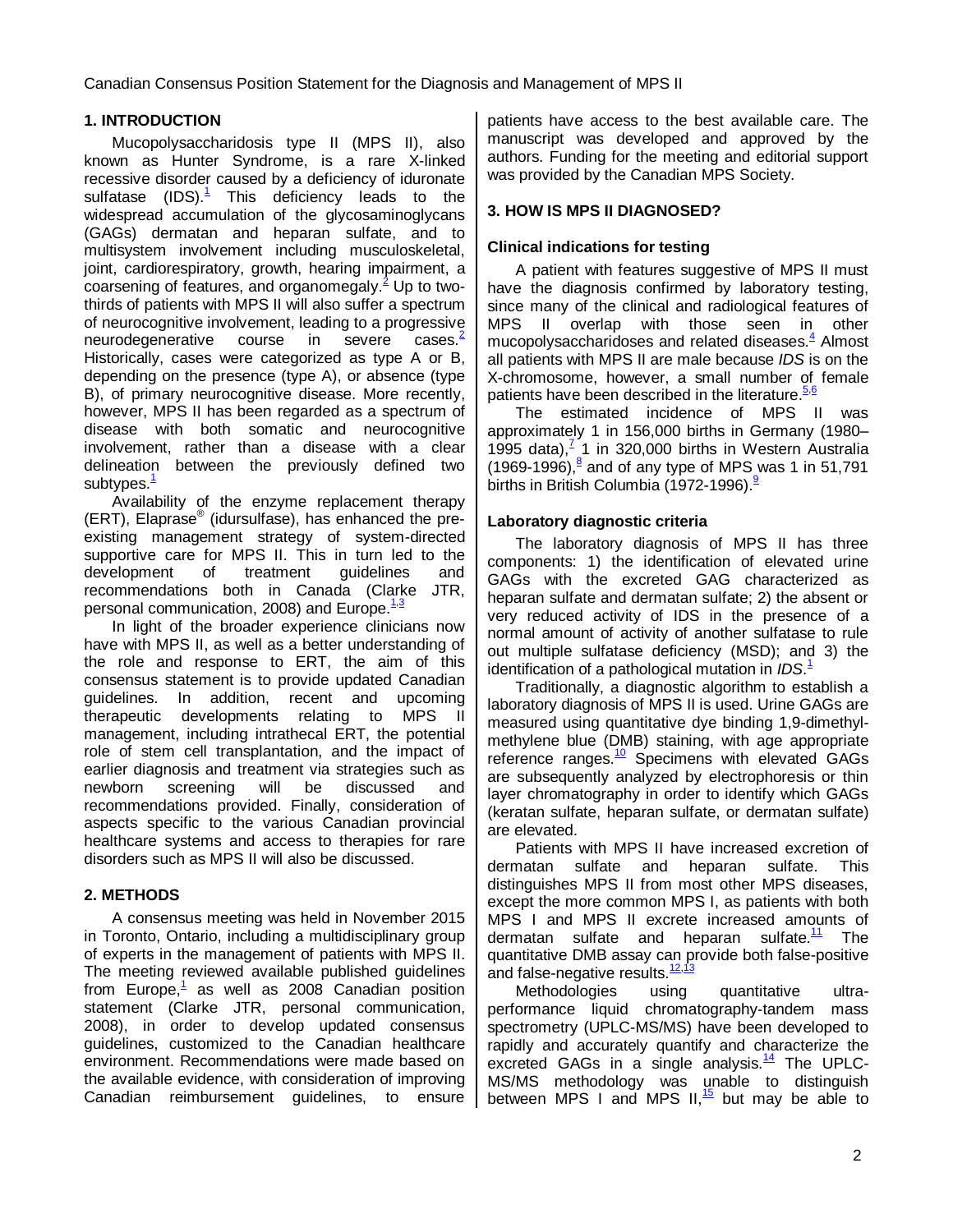### **1. INTRODUCTION**

Mucopolysaccharidosis type II (MPS II), also known as Hunter Syndrome, is a rare X-linked recessive disorder caused by a deficiency of iduronate sulfatase  $(IDS)^{\mathbf{1}}$  This deficiency leads to the widespread accumulation of the glycosaminoglycans (GAGs) dermatan and heparan sulfate, and to multisystem involvement including musculoskeletal, joint, cardiorespiratory, growth, hearing impairment, a coarsening of features, and organomegal[y.](#page-16-1)<sup>2</sup> Up to twothirds of patients with MPS II will also suffer a spectrum of neurocognitive involvement, leading to a progressive neurodegenerative course in severe cases.<sup>2</sup> Historically, cases were categorized as type A or B, depending on the presence (type A), or absence (type B), of primary neurocognitive disease. More recently, however, MPS II has been regarded as a spectrum of disease with both somatic and neurocognitive involvement, rather than a disease with a clear delineation between the previously defined two subtypes.<sup>[1](#page-16-0)</sup>

Availability of the enzyme replacement therapy (ERT), Elaprase® (idursulfase), has enhanced the preexisting management strategy of system-directed supportive care for MPS II. This in turn led to the development of treatment guidelines and recommendations both in Canada (Clarke JTR, personal communication, 2008) and Europe.<sup>[1,](#page-16-0)[3](#page-16-2)</sup>

In light of the broader experience clinicians now have with MPS II, as well as a better understanding of the role and response to ERT, the aim of this consensus statement is to provide updated Canadian guidelines. In addition, recent and upcoming therapeutic developments relating to MPS II management, including intrathecal ERT, the potential role of stem cell transplantation, and the impact of earlier diagnosis and treatment via strategies such as newborn screening will be discussed and recommendations provided. Finally, consideration of aspects specific to the various Canadian provincial healthcare systems and access to therapies for rare disorders such as MPS II will also be discussed.

#### **2. METHODS**

A consensus meeting was held in November 2015 in Toronto, Ontario, including a multidisciplinary group of experts in the management of patients with MPS II. The meeting reviewed available published guidelines from Europe,<sup>[1](#page-16-0)</sup> as well as 2008 Canadian position statement (Clarke JTR, personal communication, 2008), in order to develop updated consensus guidelines, customized to the Canadian healthcare environment. Recommendations were made based on the available evidence, with consideration of improving Canadian reimbursement guidelines, to ensure patients have access to the best available care. The manuscript was developed and approved by the authors. Funding for the meeting and editorial support was provided by the Canadian MPS Society.

## **3. HOW IS MPS II DIAGNOSED?**

#### **Clinical indications for testing**

A patient with features suggestive of MPS II must have the diagnosis confirmed by laboratory testing, since many of the clinical and radiological features of MPS II overlap with those seen in other mucopolysaccharidoses and related diseases[.](#page-16-3) $4$  Almost all patients with MPS II are male because IDS is on the X-chromosome, however, a small number of female patients have been described in the literatur[e.](#page-16-4) 5.6

The estimated incidence of MPS II was approximately 1 in 156,000 births in Germany (1980– 1995 data)[,](#page-16-6) $\frac{7}{1}$ 1 in 320,000 births in Western Australia (1969-1996)[,](#page-16-7) $^8$  and of any type of MPS was 1 in 51,791 births in British Columbia (1[9](#page-16-8)72-1996).<sup>9</sup>

#### **Laboratory diagnostic criteria**

The laboratory diagnosis of MPS II has three components: 1) the identification of elevated urine GAGs with the excreted GAG characterized as heparan sulfate and dermatan sulfate; 2) the absent or very reduced activity of IDS in the presence of a normal amount of activity of another sulfatase to rule out multiple sulfatase deficiency (MSD); and 3) the identification of a pathological mutation in *IDS*[.](#page-16-0)<sup>1</sup>

Traditionally, a diagnostic algorithm to establish a laboratory diagnosis of MPS II is used. Urine GAGs are measured using quantitative dye binding 1,9-dimethylmethylene blue (DMB) staining, with age appropriate reference ranges.<sup>[10](#page-16-9)</sup> Specimens with elevated GAGs are subsequently analyzed by electrophoresis or thin layer chromatography in order to identify which GAGs (keratan sulfate, heparan sulfate, or dermatan sulfate) are elevated.

Patients with MPS II have increased excretion of dermatan sulfate and heparan sulfate. This distinguishes MPS II from most other MPS diseases, except the more common MPS I, as patients with both MPS I and MPS II excrete increased amounts of dermatan sulfate and heparan sulfate.<sup>[11](#page-16-10)</sup> The quantitative DMB assay can provide both false-positive and false-negative results.<sup>[12](#page-16-11),1</sup>

Methodologies using quantitative ultraperformance liquid chromatography‐tandem mass spectrometry (UPLC-MS/MS) have been developed to rapidly and accurately quantify and characterize the excreted GAGs in a single analysis. $14$  The UPLC-MS/MS methodology was unable to distinguish between MPS I and MPS II,<sup>[15](#page-16-14)</sup> but may be able to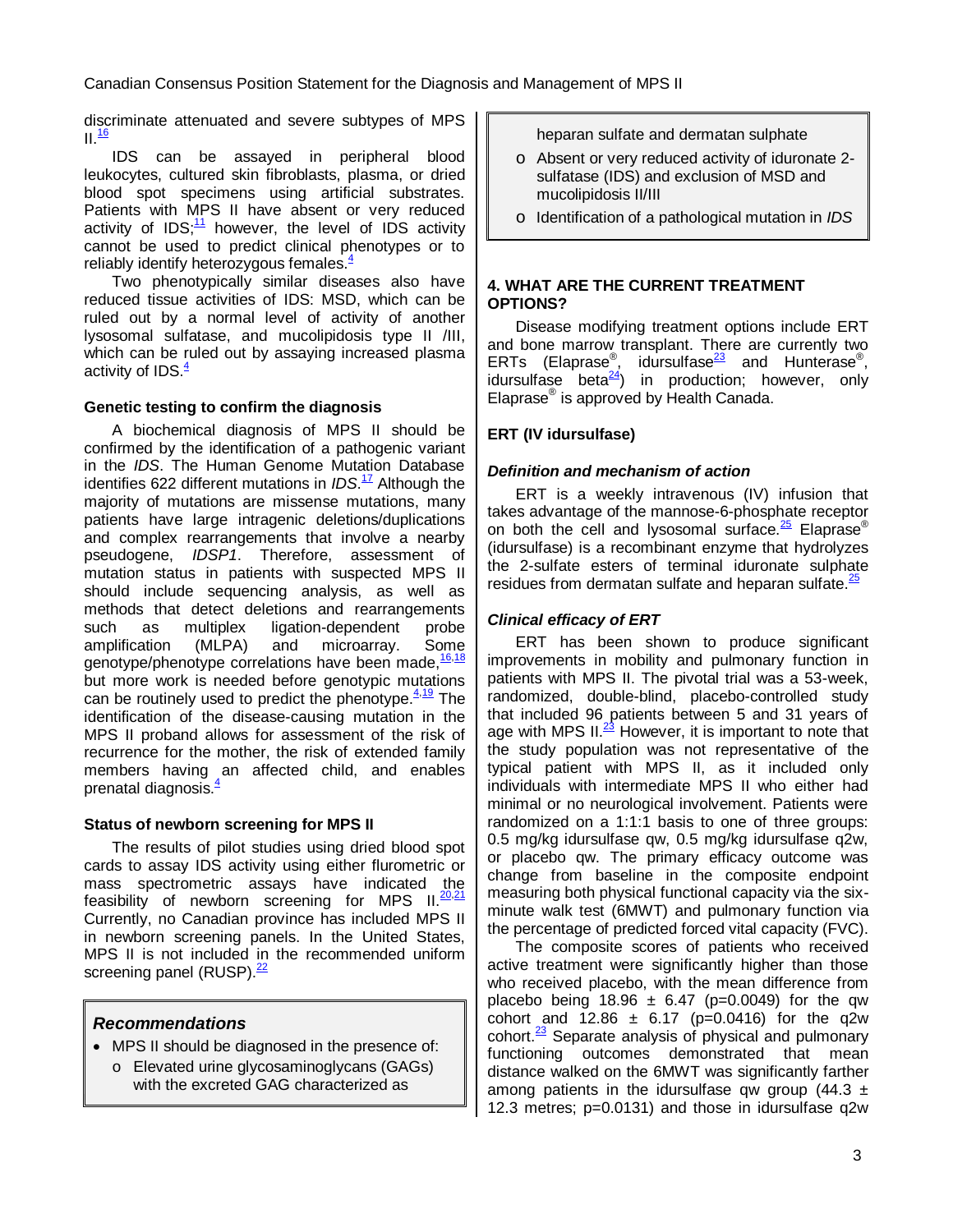discriminate attenuated and severe subtypes of MPS  $II.$ <sup>[16](#page-16-15)</sup>

IDS can be assayed in peripheral blood leukocytes, cultured skin fibroblasts, plasma, or dried blood spot specimens using artificial substrates. Patients with MPS II have absent or very reduced activity of  $IDS$ ; <sup>[11](#page-16-10)</sup> however, the level of IDS activity cannot be used to predict clinical phenotypes or to reliably identify heterozygous female[s.](#page-16-3) $4$ 

Two phenotypically similar diseases also have reduced tissue activities of IDS: MSD, which can be ruled out by a normal level of activity of another lysosomal sulfatase, and mucolipidosis type II /III, which can be ruled out by assaying increased plasma activity of IDS[.](#page-16-3)<sup>4</sup>

### **Genetic testing to confirm the diagnosis**

A biochemical diagnosis of MPS II should be confirmed by the identification of a pathogenic variant in the IDS. The Human Genome Mutation Database identifies 622 different mutations in *IDS*.<sup>[17](#page-16-16)</sup> Although the majority of mutations are missense mutations, many patients have large intragenic deletions/duplications and complex rearrangements that involve a nearby pseudogene, IDSP1. Therefore, assessment of mutation status in patients with suspected MPS II should include sequencing analysis, as well as methods that detect deletions and rearrangements such as multiplex ligation-dependent probe amplification (MLPA) and microarray. Some genotype/phenotype correlations have been made, <sup>[16,](#page-16-15)[18](#page-16-17)</sup> but more work is needed before genotypic mutations can be routinely used to predict the phenotype.<sup>[4](#page-16-3)[,19](#page-17-0)</sup> The identification of the disease-causing mutation in the MPS II proband allows for assessment of the risk of recurrence for the mother, the risk of extended family members having an affected child, and enables prenatal diagnosis[.](#page-16-3)<sup>4</sup>

#### **Status of newborn screening for MPS II**

The results of pilot studies using dried blood spot cards to assay IDS activity using either flurometric or mass spectrometric assays have indicated the feasibility of newborn screening for MPS II.<sup>[20,](#page-17-1)[21](#page-17-2)</sup> Currently, no Canadian province has included MPS II in newborn screening panels. In the United States, MPS II is not included in the recommended uniform screening panel (RUSP).  $22$ 

## **Recommendations**

- MPS II should be diagnosed in the presence of:
	- o Elevated urine glycosaminoglycans (GAGs) with the excreted GAG characterized as

heparan sulfate and dermatan sulphate

- o Absent or very reduced activity of iduronate 2 sulfatase (IDS) and exclusion of MSD and mucolipidosis II/III
- o Identification of a pathological mutation in IDS

#### **4. WHAT ARE THE CURRENT TREATMENT OPTIONS?**

Disease modifying treatment options include ERT and bone marrow transplant. There are currently two ERTs (Elaprase<sup>®</sup>, idursulfase<sup>[23](#page-17-4)</sup> and Hunterase<sup>®</sup>, idursulfase beta $\frac{24}{4}$  $\frac{24}{4}$  $\frac{24}{4}$  in production; however, only Elaprase® is approved by Health Canada.

## **ERT (IV idursulfase)**

### **Definition and mechanism of action**

ERT is a weekly intravenous (IV) infusion that takes advantage of the mannose-6-phosphate receptor on both the cell and lysosomal surface. $\frac{25}{5}$  $\frac{25}{5}$  $\frac{25}{5}$  Elaprase<sup>®</sup> (idursulfase) is a recombinant enzyme that hydrolyzes the 2-sulfate esters of terminal iduronate sulphate residues from dermatan sulfate and heparan sulfate  $\frac{25}{5}$  $\frac{25}{5}$  $\frac{25}{5}$ 

## **Clinical efficacy of ERT**

ERT has been shown to produce significant improvements in mobility and pulmonary function in patients with MPS II. The pivotal trial was a 53-week, randomized, double-blind, placebo-controlled study that included 96 patients between 5 and 31 years of age with MPS II. $^{23}$  $^{23}$  $^{23}$  However, it is important to note that the study population was not representative of the typical patient with MPS II, as it included only individuals with intermediate MPS II who either had minimal or no neurological involvement. Patients were randomized on a 1:1:1 basis to one of three groups: 0.5 mg/kg idursulfase qw, 0.5 mg/kg idursulfase q2w, or placebo qw. The primary efficacy outcome was change from baseline in the composite endpoint measuring both physical functional capacity via the sixminute walk test (6MWT) and pulmonary function via the percentage of predicted forced vital capacity (FVC).

The composite scores of patients who received active treatment were significantly higher than those who received placebo, with the mean difference from placebo being 18.96  $\pm$  6.47 (p=0.0049) for the qw cohort and  $12.86 \pm 6.17$  (p=0.0416) for the q2w cohort. $\frac{23}{3}$  $\frac{23}{3}$  $\frac{23}{3}$  Separate analysis of physical and pulmonary functioning outcomes demonstrated that mean distance walked on the 6MWT was significantly farther among patients in the idursulfase qw group (44.3  $\pm$ 12.3 metres; p=0.0131) and those in idursulfase q2w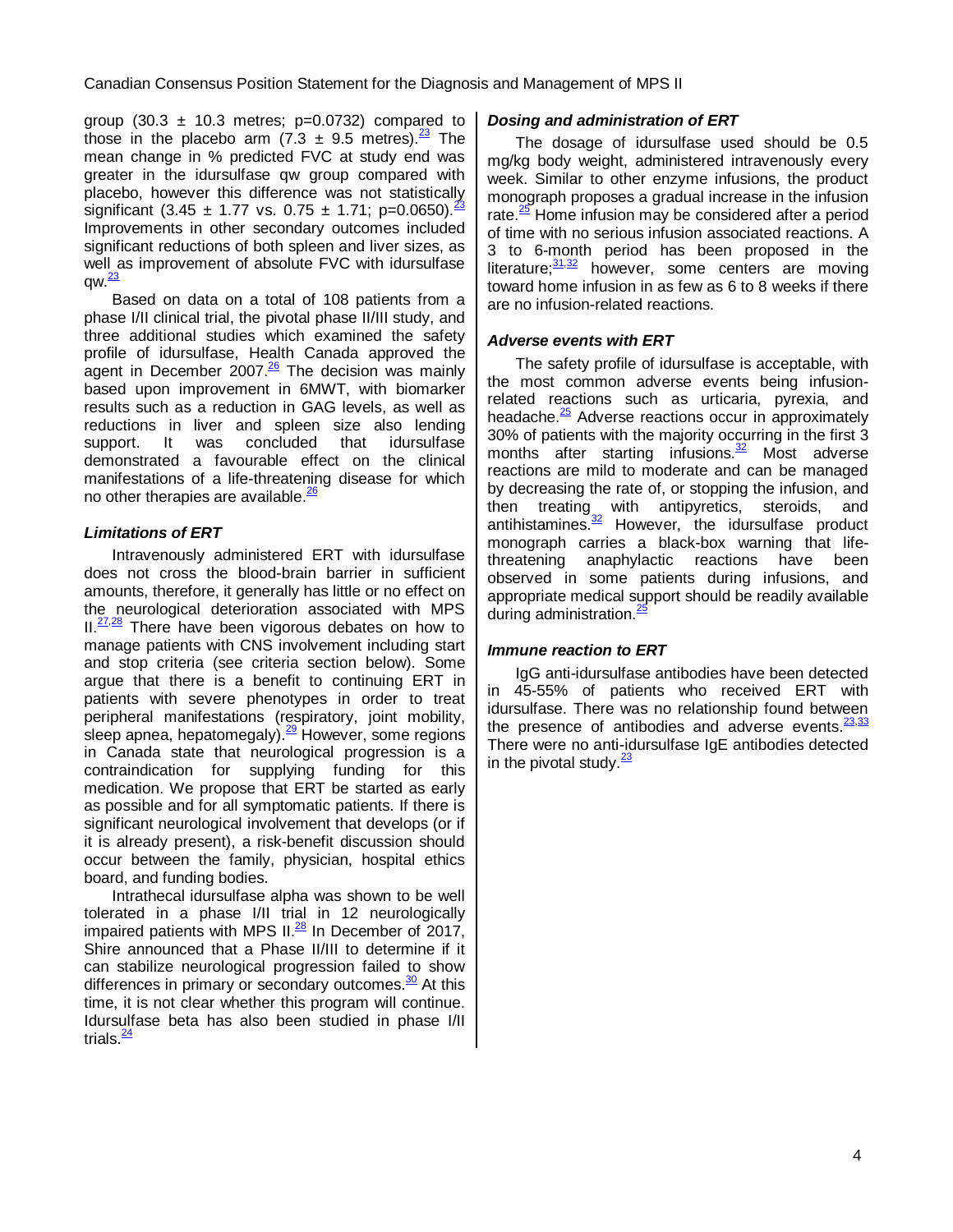group (30.3  $\pm$  10.3 metres; p=0.0732) compared to those in the placebo arm  $(7.3 \pm 9.5 \text{ metres})^{\frac{23}{}}$  $(7.3 \pm 9.5 \text{ metres})^{\frac{23}{}}$  $(7.3 \pm 9.5 \text{ metres})^{\frac{23}{}}$  The mean change in % predicted FVC at study end was greater in the idursulfase qw group compared with placebo, however this difference was not statistically significant (3.45  $\pm$  1.77 vs. 0.75  $\pm$  1.71; p=0.0650).  $\frac{23}{1}$  $\frac{23}{1}$  $\frac{23}{1}$ Improvements in other secondary outcomes included significant reductions of both spleen and liver sizes, as well as improvement of absolute FVC with idursulfase  $aw.<sup>23</sup>$  $aw.<sup>23</sup>$  $aw.<sup>23</sup>$ 

Based on data on a total of 108 patients from a phase I/II clinical trial, the pivotal phase II/III study, and three additional studies which examined the safety profile of idursulfase, Health Canada approved the agent in December 2007.<sup>[26](#page-17-7)</sup> The decision was mainly based upon improvement in 6MWT, with biomarker results such as a reduction in GAG levels, as well as reductions in liver and spleen size also lending support. It was concluded that idursulfase demonstrated a favourable effect on the clinical manifestations of a life-threatening disease for which no other therapies are available.<sup>[26](#page-17-7)</sup>

#### **Limitations of ERT**

Intravenously administered ERT with idursulfase does not cross the blood-brain barrier in sufficient amounts, therefore, it generally has little or no effect on the neurological deterioration associated with MPS  $II. <sup>27,28</sup>$  $II. <sup>27,28</sup>$  $II. <sup>27,28</sup>$  $II. <sup>27,28</sup>$  There have been vigorous debates on how to manage patients with CNS involvement including start and stop criteria (see criteria section below). Some argue that there is a benefit to continuing ERT in patients with severe phenotypes in order to treat peripheral manifestations (respiratory, joint mobility, .<br>sleep apnea, hepatomegaly).<sup>[29](#page-17-10)</sup> However, some regions in Canada state that neurological progression is a contraindication for supplying funding for this medication. We propose that ERT be started as early as possible and for all symptomatic patients. If there is significant neurological involvement that develops (or if it is already present), a risk-benefit discussion should occur between the family, physician, hospital ethics board, and funding bodies.

Intrathecal idursulfase alpha was shown to be well tolerated in a phase I/II trial in 12 neurologically impaired patients with MPS II. $^{28}$  $^{28}$  $^{28}$  In December of 2017, Shire announced that a Phase II/III to determine if it can stabilize neurological progression failed to show differences in primary or secondary outcomes. $30$  At this time, it is not clear whether this program will continue. Idursulfase beta has also been studied in phase I/II trials  $\frac{24}{3}$  $\frac{24}{3}$  $\frac{24}{3}$ 

#### **Dosing and administration of ERT**

The dosage of idursulfase used should be 0.5 mg/kg body weight, administered intravenously every week. Similar to other enzyme infusions, the product monograph proposes a gradual increase in the infusion rate. $\frac{25}{5}$  $\frac{25}{5}$  $\frac{25}{5}$  Home infusion may be considered after a period of time with no serious infusion associated reactions. A 3 to 6-month period has been proposed in the literature; $\frac{31,32}{ }$  $\frac{31,32}{ }$  $\frac{31,32}{ }$  $\frac{31,32}{ }$  however, some centers are moving toward home infusion in as few as 6 to 8 weeks if there are no infusion-related reactions.

#### **Adverse events with ERT**

The safety profile of idursulfase is acceptable, with the most common adverse events being infusionrelated reactions such as urticaria, pyrexia, and headache. $\frac{25}{5}$  $\frac{25}{5}$  $\frac{25}{5}$  Adverse reactions occur in approximately 30% of patients with the majority occurring in the first 3 months after starting infusions. $\frac{32}{2}$  $\frac{32}{2}$  $\frac{32}{2}$  Most adverse reactions are mild to moderate and can be managed by decreasing the rate of, or stopping the infusion, and then treating with antipyretics, steroids, and antihistamines.<sup>[32](#page-17-13)</sup> However, the idursulfase product monograph carries a black-box warning that lifethreatening anaphylactic reactions have been observed in some patients during infusions, and appropriate medical support should be readily available during administration.<sup>[25](#page-17-6)</sup>

#### **Immune reaction to ERT**

IgG anti-idursulfase antibodies have been detected in 45-55% of patients who received ERT with idursulfase. There was no relationship found between the presence of antibodies and adverse events. <sup>[23](#page-17-4), 33</sup> There were no anti-idursulfase IgE antibodies detected in the pivotal study. $\frac{23}{2}$  $\frac{23}{2}$  $\frac{23}{2}$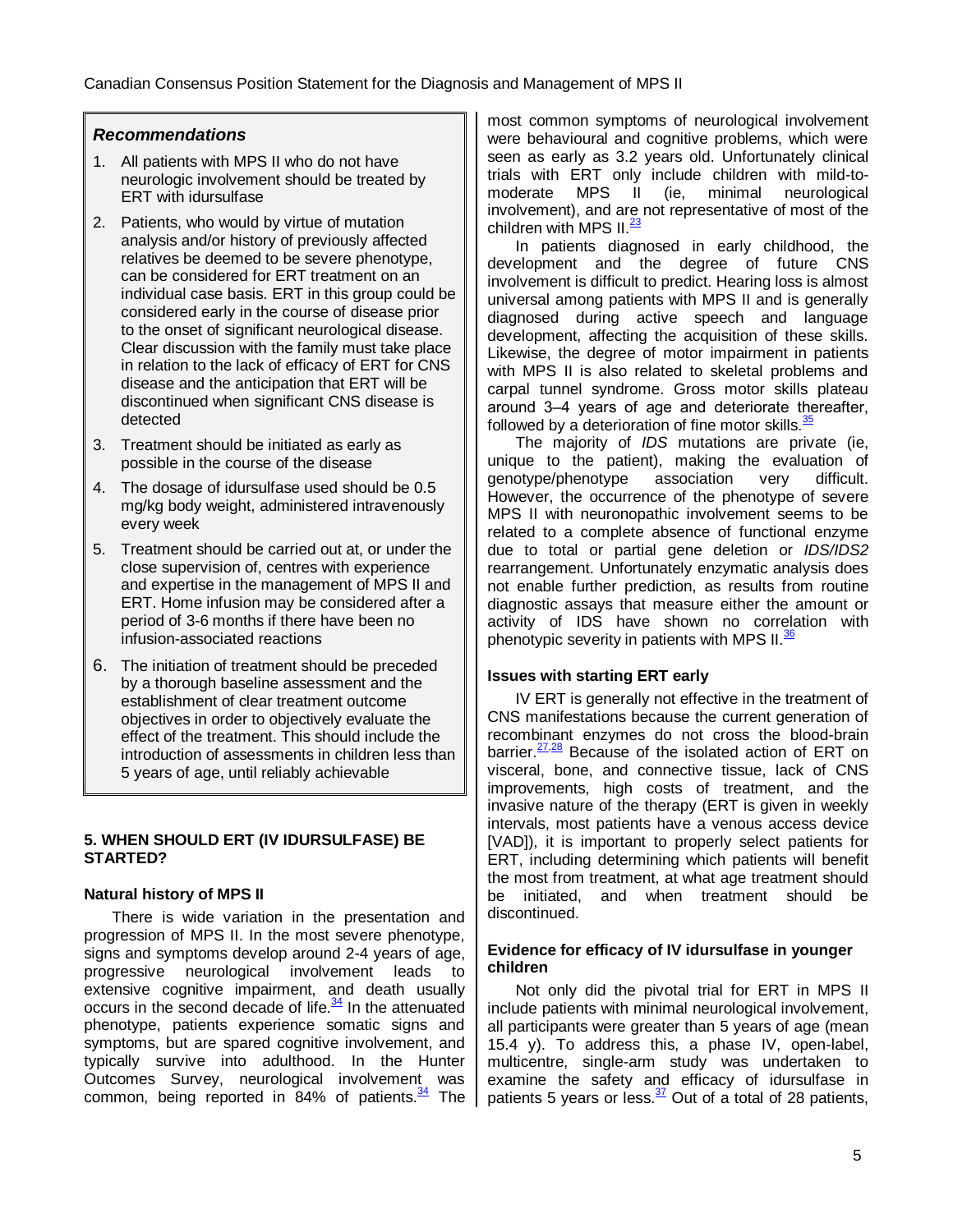### **Recommendations**

- 1. All patients with MPS II who do not have neurologic involvement should be treated by ERT with idursulfase
- 2. Patients, who would by virtue of mutation analysis and/or history of previously affected relatives be deemed to be severe phenotype, can be considered for ERT treatment on an individual case basis. ERT in this group could be considered early in the course of disease prior to the onset of significant neurological disease. Clear discussion with the family must take place in relation to the lack of efficacy of ERT for CNS disease and the anticipation that ERT will be discontinued when significant CNS disease is detected
- 3. Treatment should be initiated as early as possible in the course of the disease
- 4. The dosage of idursulfase used should be 0.5 mg/kg body weight, administered intravenously every week
- 5. Treatment should be carried out at, or under the close supervision of, centres with experience and expertise in the management of MPS II and ERT. Home infusion may be considered after a period of 3-6 months if there have been no infusion-associated reactions
- 6. The initiation of treatment should be preceded by a thorough baseline assessment and the establishment of clear treatment outcome objectives in order to objectively evaluate the effect of the treatment. This should include the introduction of assessments in children less than 5 years of age, until reliably achievable

#### **5. WHEN SHOULD ERT (IV IDURSULFASE) BE STARTED?**

#### **Natural history of MPS II**

There is wide variation in the presentation and progression of MPS II. In the most severe phenotype, signs and symptoms develop around 2-4 years of age, progressive neurological involvement leads to extensive cognitive impairment, and death usually occurs in the second decade of life. $\frac{34}{2}$  $\frac{34}{2}$  $\frac{34}{2}$  In the attenuated phenotype, patients experience somatic signs and symptoms, but are spared cognitive involvement, and typically survive into adulthood. In the Hunter Outcomes Survey, neurological involvement was common, being reported in 84% of patients. $\frac{34}{2}$  $\frac{34}{2}$  $\frac{34}{2}$  The most common symptoms of neurological involvement were behavioural and cognitive problems, which were seen as early as 3.2 years old. Unfortunately clinical trials with ERT only include children with mild-tomoderate MPS II (ie, minimal neurological involvement), and are not representative of most of the children with MPS  $II.$   $\frac{23}{2}$  $\frac{23}{2}$  $\frac{23}{2}$ 

In patients diagnosed in early childhood, the development and the degree of future CNS involvement is difficult to predict. Hearing loss is almost universal among patients with MPS II and is generally diagnosed during active speech and language development, affecting the acquisition of these skills. Likewise, the degree of motor impairment in patients with MPS II is also related to skeletal problems and carpal tunnel syndrome. Gross motor skills plateau around 3‒4 years of age and deteriorate thereafter, followed by a deterioration of fine motor skills. $\frac{35}{20}$  $\frac{35}{20}$  $\frac{35}{20}$ 

The majority of IDS mutations are private (ie, unique to the patient), making the evaluation of<br>genotype/phenotype association very difficult. genotype/phenotype association very difficult. However, the occurrence of the phenotype of severe MPS II with neuronopathic involvement seems to be related to a complete absence of functional enzyme due to total or partial gene deletion or IDS/IDS2 rearrangement. Unfortunately enzymatic analysis does not enable further prediction, as results from routine diagnostic assays that measure either the amount or activity of IDS have shown no correlation with phenotypic severity in patients with MPS II.<sup>[36](#page-17-17)</sup>

#### **Issues with starting ERT early**

IV ERT is generally not effective in the treatment of CNS manifestations because the current generation of recombinant enzymes do not cross the blood-brain barrier. $\frac{27,28}{20}$  $\frac{27,28}{20}$  $\frac{27,28}{20}$  $\frac{27,28}{20}$  Because of the isolated action of ERT on visceral, bone, and connective tissue, lack of CNS improvements, high costs of treatment, and the invasive nature of the therapy (ERT is given in weekly intervals, most patients have a venous access device [VAD]), it is important to properly select patients for ERT, including determining which patients will benefit the most from treatment, at what age treatment should be initiated, and when treatment should be discontinued.

#### **Evidence for efficacy of IV idursulfase in younger children**

Not only did the pivotal trial for ERT in MPS II include patients with minimal neurological involvement, all participants were greater than 5 years of age (mean 15.4 y). To address this, a phase IV, open-label, multicentre, single-arm study was undertaken to examine the safety and efficacy of idursulfase in patients 5 years or less.<sup>[37](#page-17-18)</sup> Out of a total of 28 patients,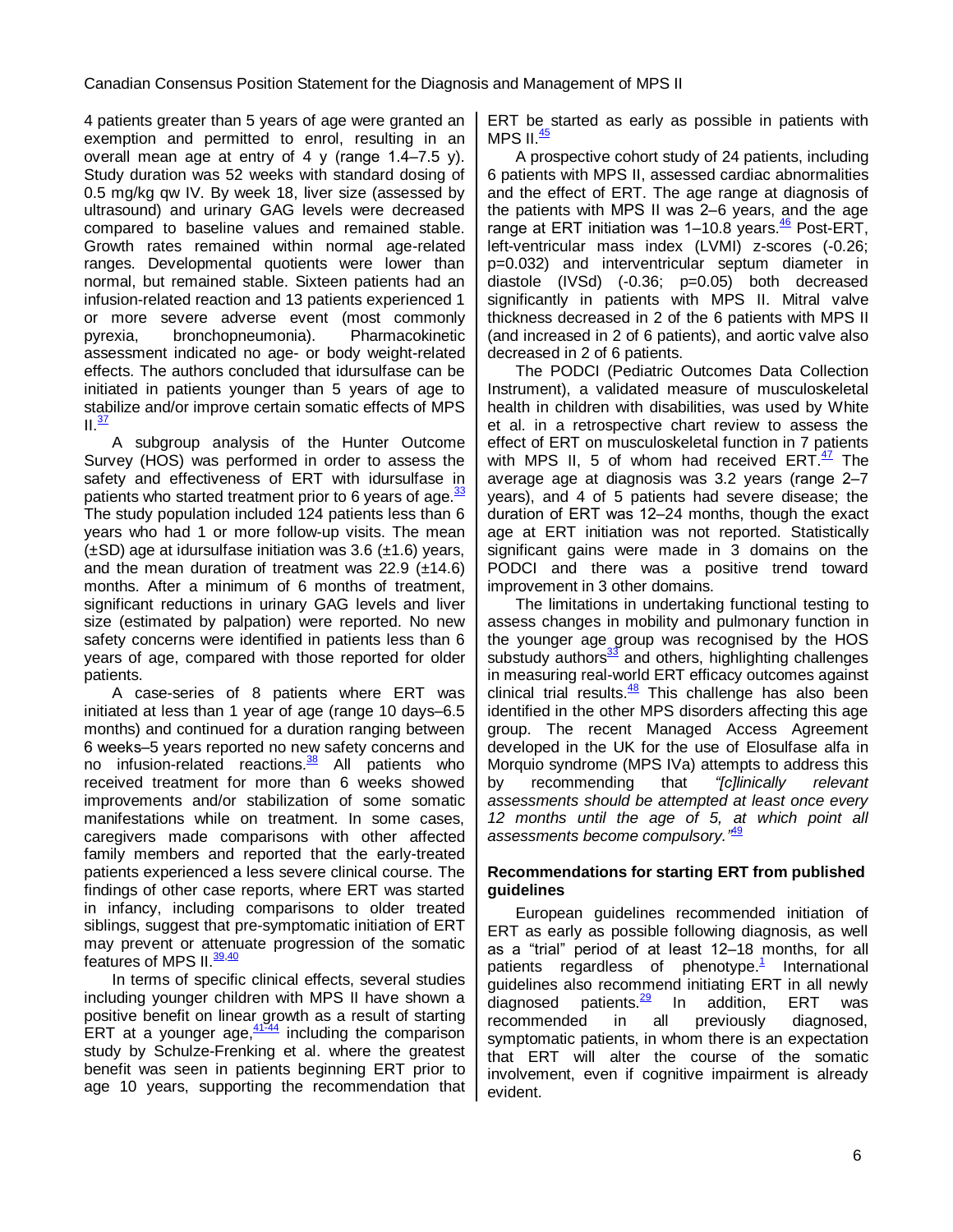4 patients greater than 5 years of age were granted an exemption and permitted to enrol, resulting in an overall mean age at entry of 4 y (range 1.4‒7.5 y). Study duration was 52 weeks with standard dosing of 0.5 mg/kg qw IV. By week 18, liver size (assessed by ultrasound) and urinary GAG levels were decreased compared to baseline values and remained stable. Growth rates remained within normal age-related ranges. Developmental quotients were lower than normal, but remained stable. Sixteen patients had an infusion-related reaction and 13 patients experienced 1 or more severe adverse event (most commonly pyrexia, bronchopneumonia). Pharmacokinetic assessment indicated no age- or body weight-related effects. The authors concluded that idursulfase can be initiated in patients younger than 5 years of age to stabilize and/or improve certain somatic effects of MPS II.<sup>[37](#page-17-18)</sup>

A subgroup analysis of the Hunter Outcome Survey (HOS) was performed in order to assess the safety and effectiveness of ERT with idursulfase in patients who started treatment prior to 6 years of age. $\frac{33}{2}$  $\frac{33}{2}$  $\frac{33}{2}$ The study population included 124 patients less than 6 years who had 1 or more follow-up visits. The mean  $(\pm SD)$  age at idursulfase initiation was 3.6 ( $\pm$ 1.6) years, and the mean duration of treatment was  $22.9$  ( $\pm$ 14.6) months. After a minimum of 6 months of treatment, significant reductions in urinary GAG levels and liver size (estimated by palpation) were reported. No new safety concerns were identified in patients less than 6 years of age, compared with those reported for older patients.

A case-series of 8 patients where ERT was initiated at less than 1 year of age (range 10 days-6.5) months) and continued for a duration ranging between 6 weeks‒5 years reported no new safety concerns and no infusion-related reactions.<sup>[38](#page-17-19)</sup> All patients who received treatment for more than 6 weeks showed improvements and/or stabilization of some somatic manifestations while on treatment. In some cases, caregivers made comparisons with other affected family members and reported that the early-treated patients experienced a less severe clinical course. The findings of other case reports, where ERT was started in infancy, including comparisons to older treated siblings, suggest that pre-symptomatic initiation of ERT may prevent or attenuate progression of the somatic features of MPS II.<sup>[39](#page-17-20)[,40](#page-17-21)</sup>

In terms of specific clinical effects, several studies including younger children with MPS II have shown a positive benefit on linear growth as a result of starting ERT at a younger age, $\frac{41-44}{41}$  $\frac{41-44}{41}$  $\frac{41-44}{41}$  including the comparison study by Schulze-Frenking et al. where the greatest benefit was seen in patients beginning ERT prior to age 10 years, supporting the recommendation that ERT be started as early as possible in patients with MPS II. $\frac{45}{5}$  $\frac{45}{5}$  $\frac{45}{5}$ 

A prospective cohort study of 24 patients, including 6 patients with MPS II, assessed cardiac abnormalities and the effect of ERT. The age range at diagnosis of the patients with MPS II was 2–6 years, and the age range at ERT initiation was 1-10.8 years.<sup>[46](#page-17-24)</sup> Post-ERT, left-ventricular mass index (LVMI) z-scores (-0.26; p=0.032) and interventricular septum diameter in diastole (IVSd) (-0.36; p=0.05) both decreased significantly in patients with MPS II. Mitral valve thickness decreased in 2 of the 6 patients with MPS II (and increased in 2 of 6 patients), and aortic valve also decreased in 2 of 6 patients.

The PODCI (Pediatric Outcomes Data Collection Instrument), a validated measure of musculoskeletal health in children with disabilities, was used by White et al. in a retrospective chart review to assess the effect of ERT on musculoskeletal function in 7 patients with MPS II, 5 of whom had received ERT. $\frac{47}{1}$  $\frac{47}{1}$  $\frac{47}{1}$  The average age at diagnosis was 3.2 years (range 2-7 years), and 4 of 5 patients had severe disease; the duration of ERT was 12–24 months, though the exact age at ERT initiation was not reported. Statistically significant gains were made in 3 domains on the PODCI and there was a positive trend toward improvement in 3 other domains.

The limitations in undertaking functional testing to assess changes in mobility and pulmonary function in the younger age group was recognised by the HOS substudy authors<sup>[33](#page-17-14)</sup> and others, highlighting challenges in measuring real-world ERT efficacy outcomes against clinical trial results.<sup>[48](#page-17-26)</sup> This challenge has also been identified in the other MPS disorders affecting this age group. The recent Managed Access Agreement developed in the UK for the use of Elosulfase alfa in Morquio syndrome (MPS IVa) attempts to address this by recommending that *"[c]*linically relevant assessments should be attempted at least once every 12 months until the age of 5, at which point all assessments become compulsory.*"* [49](#page-17-27)

#### **Recommendations for starting ERT from published guidelines**

European guidelines recommended initiation of ERT as early as possible following diagnosis, as well as a "trial" period of at least 12-18 months, for all patients regardless of phenotyp[e.](#page-16-0)<sup>1</sup> International guidelines also recommend initiating ERT in all newly diagnosed patients. $\frac{29}{10}$  $\frac{29}{10}$  $\frac{29}{10}$  In addition, ERT was recommended in all previously diagnosed, symptomatic patients, in whom there is an expectation that ERT will alter the course of the somatic involvement, even if cognitive impairment is already evident.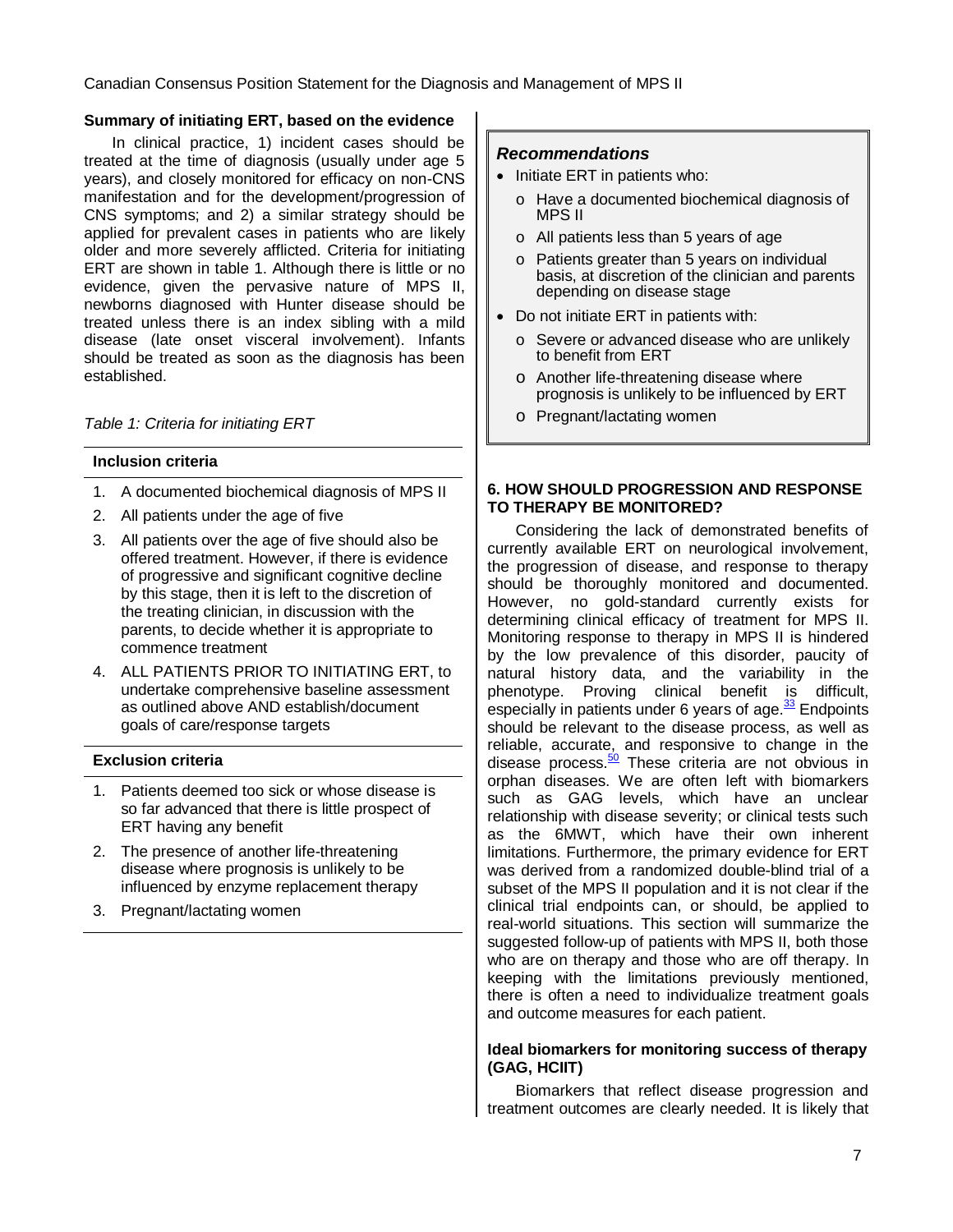#### **Summary of initiating ERT, based on the evidence**

In clinical practice, 1) incident cases should be treated at the time of diagnosis (usually under age 5 years), and closely monitored for efficacy on non-CNS manifestation and for the development/progression of CNS symptoms; and 2) a similar strategy should be applied for prevalent cases in patients who are likely older and more severely afflicted. Criteria for initiating ERT are shown in table 1. Although there is little or no evidence, given the pervasive nature of MPS II, newborns diagnosed with Hunter disease should be treated unless there is an index sibling with a mild disease (late onset visceral involvement). Infants should be treated as soon as the diagnosis has been established.

Table 1: Criteria for initiating ERT

#### **Inclusion criteria**

- 1. A documented biochemical diagnosis of MPS II
- 2. All patients under the age of five
- 3. All patients over the age of five should also be offered treatment. However, if there is evidence of progressive and significant cognitive decline by this stage, then it is left to the discretion of the treating clinician, in discussion with the parents, to decide whether it is appropriate to commence treatment
- 4. ALL PATIENTS PRIOR TO INITIATING ERT, to undertake comprehensive baseline assessment as outlined above AND establish/document goals of care/response targets

#### **Exclusion criteria**

- 1. Patients deemed too sick or whose disease is so far advanced that there is little prospect of ERT having any benefit
- 2. The presence of another life-threatening disease where prognosis is unlikely to be influenced by enzyme replacement therapy
- 3. Pregnant/lactating women

#### **Recommendations**

- Initiate ERT in patients who:
	- o Have a documented biochemical diagnosis of MPS II
	- o All patients less than 5 years of age
	- o Patients greater than 5 years on individual basis, at discretion of the clinician and parents depending on disease stage
- Do not initiate ERT in patients with:
	- Severe or advanced disease who are unlikely to benefit from ERT
	- o Another life-threatening disease where prognosis is unlikely to be influenced by ERT
	- o Pregnant/lactating women

#### **6. HOW SHOULD PROGRESSION AND RESPONSE TO THERAPY BE MONITORED?**

Considering the lack of demonstrated benefits of currently available ERT on neurological involvement, the progression of disease, and response to therapy should be thoroughly monitored and documented. However, no gold-standard currently exists for determining clinical efficacy of treatment for MPS II. Monitoring response to therapy in MPS II is hindered by the low prevalence of this disorder, paucity of natural history data, and the variability in the phenotype. Proving clinical benefit is difficult, especially in patients under 6 years of age.<sup>[33](#page-17-14)</sup> Endpoints should be relevant to the disease process, as well as reliable, accurate, and responsive to change in the disease process.<sup>[50](#page-17-28)</sup> These criteria are not obvious in orphan diseases. We are often left with biomarkers such as GAG levels, which have an unclear relationship with disease severity; or clinical tests such as the 6MWT, which have their own inherent limitations. Furthermore, the primary evidence for ERT was derived from a randomized double-blind trial of a subset of the MPS II population and it is not clear if the clinical trial endpoints can, or should, be applied to real-world situations. This section will summarize the suggested follow-up of patients with MPS II, both those who are on therapy and those who are off therapy. In keeping with the limitations previously mentioned, there is often a need to individualize treatment goals and outcome measures for each patient.

#### **Ideal biomarkers for monitoring success of therapy (GAG, HCIIT)**

Biomarkers that reflect disease progression and treatment outcomes are clearly needed. It is likely that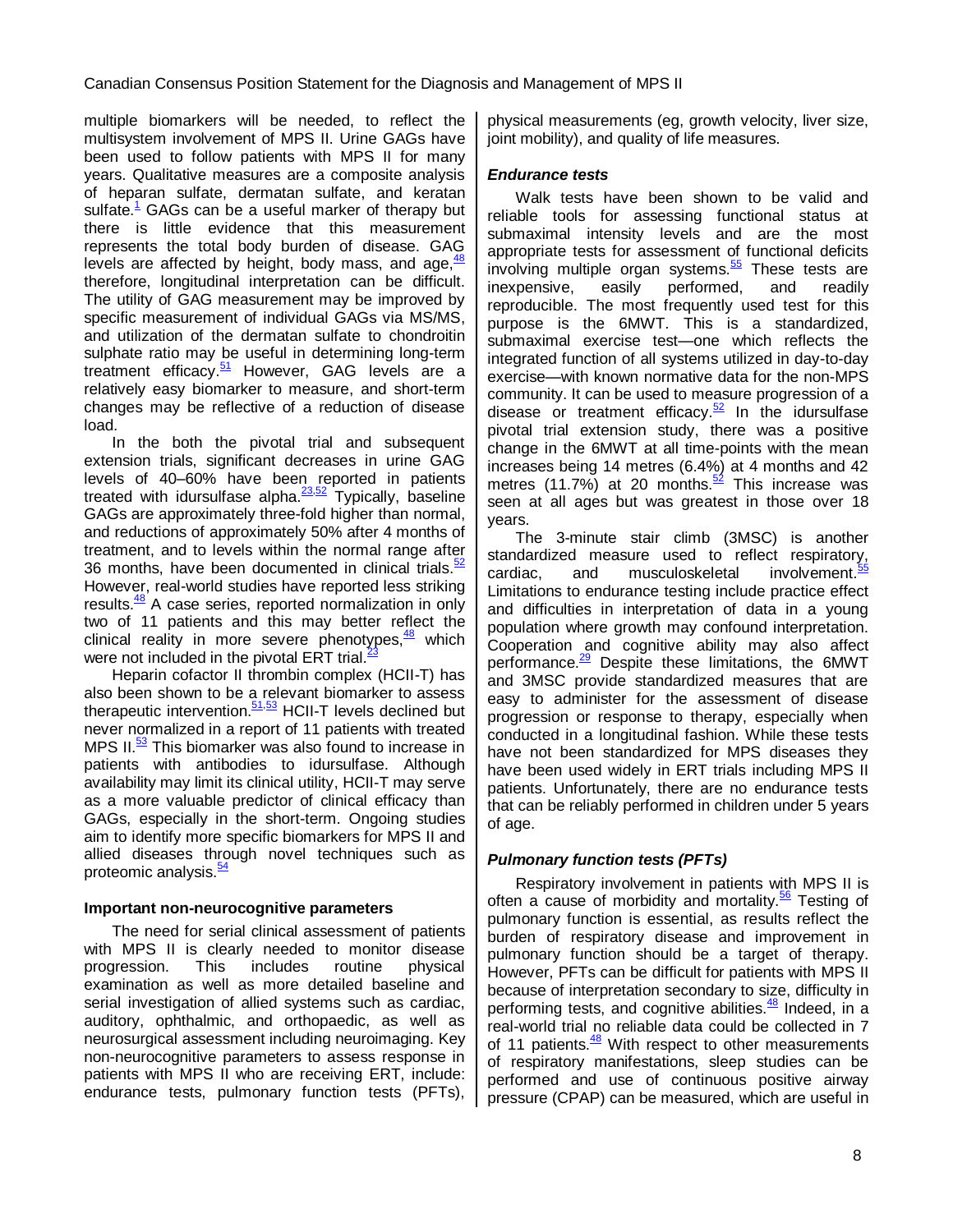multiple biomarkers will be needed, to reflect the multisystem involvement of MPS II. Urine GAGs have been used to follow patients with MPS II for many years. Qualitative measures are a composite analysis of heparan sulfate, dermatan sulfate, and keratan sulfate[.](#page-16-0) $<sup>1</sup>$  GAGs can be a useful marker of therapy but</sup> there is little evidence that this measurement represents the total body burden of disease. GAG levels are affected by height, body mass, and age, <sup>[48](#page-17-26)</sup> therefore, longitudinal interpretation can be difficult. The utility of GAG measurement may be improved by specific measurement of individual GAGs via MS/MS, and utilization of the dermatan sulfate to chondroitin sulphate ratio may be useful in determining long-term treatment efficacy. $51$  However, GAG levels are a relatively easy biomarker to measure, and short-term changes may be reflective of a reduction of disease load.

In the both the pivotal trial and subsequent extension trials, significant decreases in urine GAG levels of 40–60% have been reported in patients treated with idursulfase alpha.<sup>[23,](#page-17-4)[52](#page-17-30)</sup> Typically, baseline GAGs are approximately three-fold higher than normal, and reductions of approximately 50% after 4 months of treatment, and to levels within the normal range after 36 months, have been documented in clinical trials.<sup>[52](#page-17-30)</sup> However, real-world studies have reported less striking results.<sup>[48](#page-17-26)</sup> A case series, reported normalization in only two of 11 patients and this may better reflect the clinical reality in more severe phenotypes, <sup>[48](#page-17-26)</sup> which were not included in the pivotal ERT trial. $<sup>2</sup>$ </sup>

Heparin cofactor II thrombin complex (HCII-T) has also been shown to be a relevant biomarker to assess therapeutic intervention.<sup>[51,](#page-17-29)[53](#page-17-31)</sup> HCII-T levels declined but never normalized in a report of 11 patients with treated MPS II.<sup>[53](#page-17-31)</sup> This biomarker was also found to increase in patients with antibodies to idursulfase. Although availability may limit its clinical utility, HCII-T may serve as a more valuable predictor of clinical efficacy than GAGs, especially in the short-term. Ongoing studies aim to identify more specific biomarkers for MPS II and allied diseases through novel techniques such as proteomic analysis.<sup>[54](#page-18-0)</sup>

#### **Important non-neurocognitive parameters**

The need for serial clinical assessment of patients with MPS II is clearly needed to monitor disease progression. This includes routine physical examination as well as more detailed baseline and serial investigation of allied systems such as cardiac, auditory, ophthalmic, and orthopaedic, as well as neurosurgical assessment including neuroimaging. Key non-neurocognitive parameters to assess response in patients with MPS II who are receiving ERT, include: endurance tests, pulmonary function tests (PFTs),

physical measurements (eg, growth velocity, liver size, joint mobility), and quality of life measures.

#### **Endurance tests**

Walk tests have been shown to be valid and reliable tools for assessing functional status at submaximal intensity levels and are the most appropriate tests for assessment of functional deficits involving multiple organ systems.<sup>[55](#page-18-1)</sup> These tests are inexpensive, easily performed, and readily reproducible. The most frequently used test for this purpose is the 6MWT. This is a standardized, submaximal exercise test—one which reflects the integrated function of all systems utilized in day-to-day exercise—with known normative data for the non-MPS community. It can be used to measure progression of a disease or treatment efficacy. $52 \text{ In }$  $52 \text{ In }$  the idursulfase pivotal trial extension study, there was a positive change in the 6MWT at all time-points with the mean increases being 14 metres (6.4%) at 4 months and 42 metres (11.7%) at 20 months.<sup>[52](#page-17-30)</sup> This increase was seen at all ages but was greatest in those over 18 years.

The 3-minute stair climb (3MSC) is another standardized measure used to reflect respiratory, cardiac, and musculoskeletal involvement.<sup>5</sup> Limitations to endurance testing include practice effect and difficulties in interpretation of data in a young population where growth may confound interpretation. Cooperation and cognitive ability may also affect performance.<sup>[29](#page-17-10)</sup> Despite these limitations, the 6MWT and 3MSC provide standardized measures that are easy to administer for the assessment of disease progression or response to therapy, especially when conducted in a longitudinal fashion. While these tests have not been standardized for MPS diseases they have been used widely in ERT trials including MPS II patients. Unfortunately, there are no endurance tests that can be reliably performed in children under 5 years of age.

#### **Pulmonary function tests (PFTs)**

Respiratory involvement in patients with MPS II is often a cause of morbidity and mortality. $56$  Testing of pulmonary function is essential, as results reflect the burden of respiratory disease and improvement in pulmonary function should be a target of therapy. However, PFTs can be difficult for patients with MPS II because of interpretation secondary to size, difficulty in performing tests, and cognitive abilities.<sup>[48](#page-17-26)</sup> Indeed, in a real-world trial no reliable data could be collected in 7 of 11 patients.<sup>[48](#page-17-26)</sup> With respect to other measurements of respiratory manifestations, sleep studies can be performed and use of continuous positive airway pressure (CPAP) can be measured, which are useful in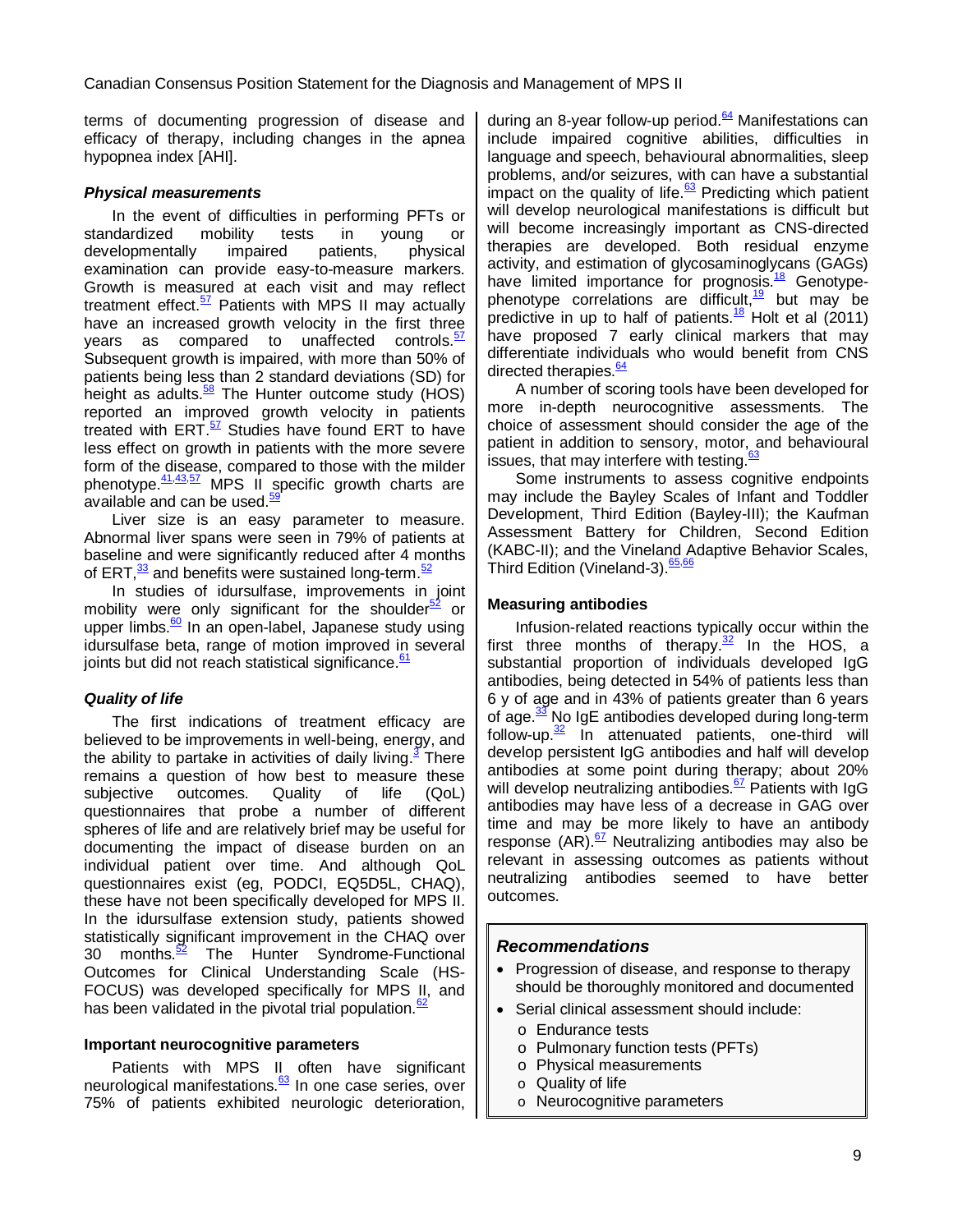terms of documenting progression of disease and efficacy of therapy, including changes in the apnea hypopnea index [AHI].

#### **Physical measurements**

In the event of difficulties in performing PFTs or standardized mobility tests in young or developmentally impaired patients, physical examination can provide easy-to-measure markers. Growth is measured at each visit and may reflect treatment effect. $57$  Patients with MPS II may actually have an increased growth velocity in the first three years as compared to unaffected controls.<sup>[57](#page-18-3)</sup> Subsequent growth is impaired, with more than 50% of patients being less than 2 standard deviations (SD) for height as adults. $\frac{58}{2}$  $\frac{58}{2}$  $\frac{58}{2}$  The Hunter outcome study (HOS) reported an improved growth velocity in patients treated with ERT.<sup>[57](#page-18-3)</sup> Studies have found ERT to have less effect on growth in patients with the more severe form of the disease, compared to those with the milder phenotype. <sup>[41,](#page-17-22)[43,](#page-17-32)[57](#page-18-3)</sup> MPS II specific growth charts are available and can be used.<sup>5</sup>

Liver size is an easy parameter to measure. Abnormal liver spans were seen in 79% of patients at baseline and were significantly reduced after 4 months of ERT,<sup>[33](#page-17-14)</sup> and benefits were sustained long-term.<sup>[52](#page-17-30)</sup>

In studies of idursulfase, improvements in joint mobility were only significant for the shoulder<sup>[52](#page-17-30)</sup> or upper limbs.<sup>[60](#page-18-6)</sup> In an open-label, Japanese study using idursulfase beta, range of motion improved in several joints but did not reach statistical significance.<sup>[61](#page-18-7)</sup>

#### **Quality of life**

The first indications of treatment efficacy are believed to be improvements in well-being, energy, and the ability to partake in activities of daily living[.](#page-16-2)<sup>3</sup> There remains a question of how best to measure these subjective outcomes. Quality of life (QoL) questionnaires that probe a number of different spheres of life and are relatively brief may be useful for documenting the impact of disease burden on an individual patient over time. And although QoL questionnaires exist (eg, PODCI, EQ5D5L, CHAQ), these have not been specifically developed for MPS II. In the idursulfase extension study, patients showed statistically significant improvement in the CHAQ over 30 months. $\frac{52}{2}$ The Hunter Syndrome-Functional Outcomes for Clinical Understanding Scale (HS-FOCUS) was developed specifically for MPS II, and has been validated in the pivotal trial population. $62$ 

#### **Important neurocognitive parameters**

Patients with MPS II often have significant neurological manifestations.<sup>[63](#page-18-9)</sup> In one case series, over 75% of patients exhibited neurologic deterioration, during an 8-year follow-up period. $64$  Manifestations can include impaired cognitive abilities, difficulties in language and speech, behavioural abnormalities, sleep problems, and/or seizures, with can have a substantial impact on the quality of life. $63$  Predicting which patient will develop neurological manifestations is difficult but will become increasingly important as CNS-directed therapies are developed. Both residual enzyme activity, and estimation of glycosaminoglycans (GAGs) have limited importance for prognosis.<sup>[18](#page-16-17)</sup> Genotype-phenotype correlations are difficult,<sup>[19](#page-17-0)</sup> but may be predictive in up to half of patients. $\frac{18}{18}$  $\frac{18}{18}$  $\frac{18}{18}$  Holt et al (2011) have proposed 7 early clinical markers that may differentiate individuals who would benefit from CNS directed therapies.<sup>[64](#page-18-10)</sup>

A number of scoring tools have been developed for more in-depth neurocognitive assessments. The choice of assessment should consider the age of the patient in addition to sensory, motor, and behavioural .<br>issues, that may interfere with testing.<sup>[63](#page-18-9)</sup>

Some instruments to assess cognitive endpoints may include the Bayley Scales of Infant and Toddler Development, Third Edition (Bayley-III); the Kaufman Assessment Battery for Children, Second Edition (KABC-II); and the Vineland Adaptive Behavior Scales, Third Edition (Vineland-3). [65,](#page-18-11)[66](#page-18-12)

#### **Measuring antibodies**

Infusion-related reactions typically occur within the first three months of therapy. $32$  In the HOS, a substantial proportion of individuals developed IgG antibodies, being detected in 54% of patients less than 6 y of age and in 43% of patients greater than 6 years of age.<sup>[33](#page-17-14)</sup> No IgE antibodies developed during long-term follow-up. $\frac{32}{2}$  $\frac{32}{2}$  $\frac{32}{2}$  In attenuated patients, one-third will develop persistent IgG antibodies and half will develop antibodies at some point during therapy; about 20% will develop neutralizing antibodies.<sup>[67](#page-18-13)</sup> Patients with IgG antibodies may have less of a decrease in GAG over time and may be more likely to have an antibody response  $(AR)$ .  $67$  Neutralizing antibodies may also be relevant in assessing outcomes as patients without neutralizing antibodies seemed to have better outcomes.

#### **Recommendations**

- Progression of disease, and response to therapy should be thoroughly monitored and documented
- Serial clinical assessment should include:
	- o Endurance tests
	- o Pulmonary function tests (PFTs)
	- o Physical measurements
	- o Quality of life
	- o Neurocognitive parameters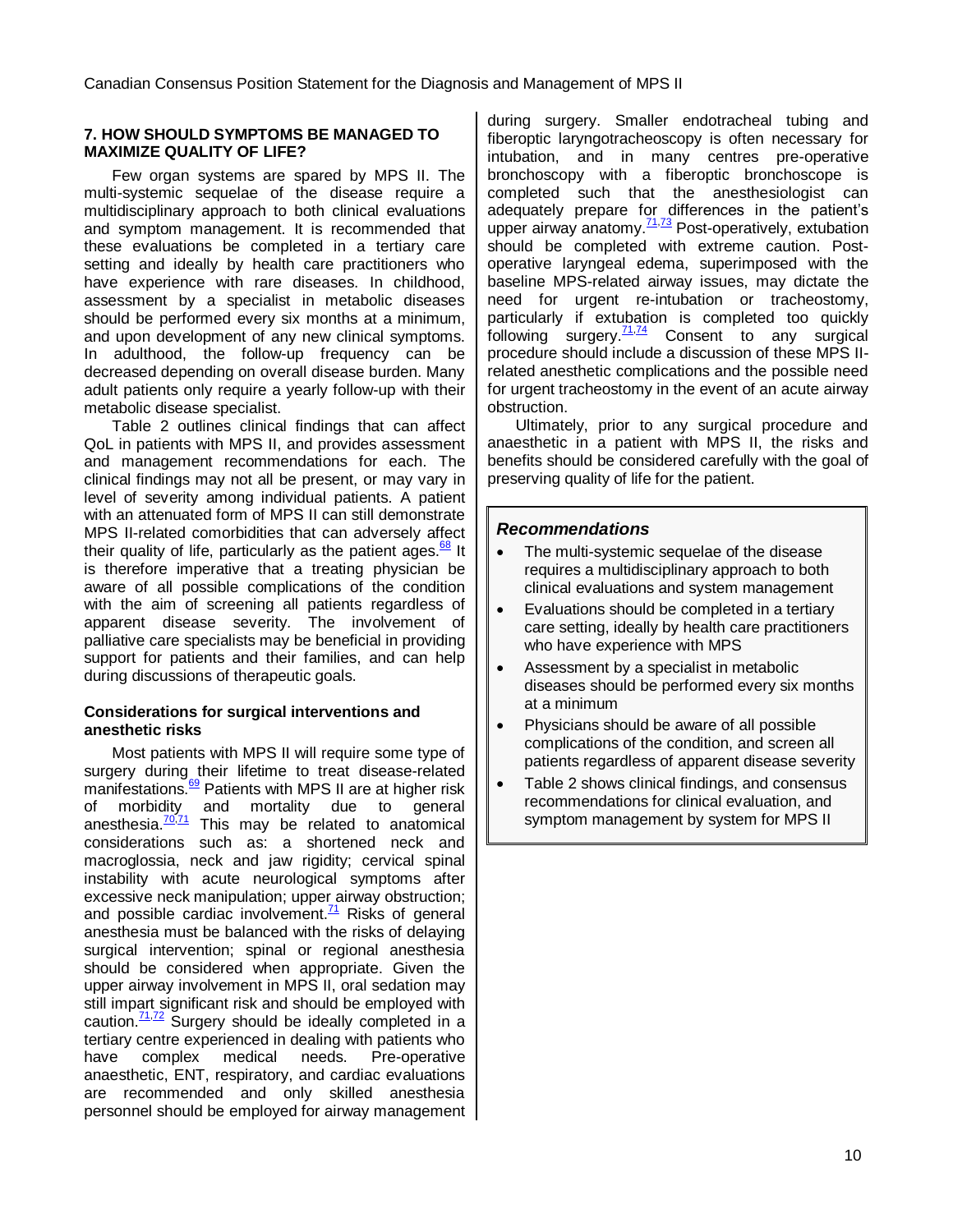#### **7. HOW SHOULD SYMPTOMS BE MANAGED TO MAXIMIZE QUALITY OF LIFE?**

Few organ systems are spared by MPS II. The multi-systemic sequelae of the disease require a multidisciplinary approach to both clinical evaluations and symptom management. It is recommended that these evaluations be completed in a tertiary care setting and ideally by health care practitioners who have experience with rare diseases. In childhood, assessment by a specialist in metabolic diseases should be performed every six months at a minimum, and upon development of any new clinical symptoms. In adulthood, the follow-up frequency can be decreased depending on overall disease burden. Many adult patients only require a yearly follow-up with their metabolic disease specialist.

Table 2 outlines clinical findings that can affect QoL in patients with MPS II, and provides assessment and management recommendations for each. The clinical findings may not all be present, or may vary in level of severity among individual patients. A patient with an attenuated form of MPS II can still demonstrate MPS II-related comorbidities that can adversely affect their quality of life, particularly as the patient ages. $\frac{68}{11}$  $\frac{68}{11}$  $\frac{68}{11}$  It is therefore imperative that a treating physician be aware of all possible complications of the condition with the aim of screening all patients regardless of apparent disease severity. The involvement of palliative care specialists may be beneficial in providing support for patients and their families, and can help during discussions of therapeutic goals.

### **Considerations for surgical interventions and anesthetic risks**

Most patients with MPS II will require some type of surgery during their lifetime to treat disease-related manifestations.<sup>[69](#page-18-15)</sup> Patients with MPS II are at higher risk of morbidity and mortality due to general anesthesia. $\frac{70,71}{2}$  $\frac{70,71}{2}$  $\frac{70,71}{2}$  $\frac{70,71}{2}$  This may be related to anatomical considerations such as: a shortened neck and macroglossia, neck and jaw rigidity; cervical spinal instability with acute neurological symptoms after excessive neck manipulation; upper airway obstruction; and possible cardiac involvement. $\frac{71}{2}$  $\frac{71}{2}$  $\frac{71}{2}$  Risks of general anesthesia must be balanced with the risks of delaying surgical intervention; spinal or regional anesthesia should be considered when appropriate. Given the upper airway involvement in MPS II, oral sedation may still impart significant risk and should be employed with caution. $\frac{71.72}{ }$  $\frac{71.72}{ }$  $\frac{71.72}{ }$  Surgery should be ideally completed in a tertiary centre experienced in dealing with patients who have complex medical needs. Pre-operative anaesthetic, ENT, respiratory, and cardiac evaluations are recommended and only skilled anesthesia personnel should be employed for airway management during surgery. Smaller endotracheal tubing and fiberoptic laryngotracheoscopy is often necessary for intubation, and in many centres pre-operative bronchoscopy with a fiberoptic bronchoscope is completed such that the anesthesiologist can adequately prepare for differences in the patient's upper airway anatomy.<sup>[71](#page-18-17)[,73](#page-18-19)</sup> Post-operatively, extubation should be completed with extreme caution. Postoperative laryngeal edema, superimposed with the baseline MPS-related airway issues, may dictate the need for urgent re-intubation or tracheostomy, particularly if extubation is completed too quickly following surgery.<sup>[71,](#page-18-17)[74](#page-18-20)</sup> Consent to any surgical procedure should include a discussion of these MPS IIrelated anesthetic complications and the possible need for urgent tracheostomy in the event of an acute airway obstruction.

Ultimately, prior to any surgical procedure and anaesthetic in a patient with MPS II, the risks and benefits should be considered carefully with the goal of preserving quality of life for the patient.

### **Recommendations**

- The multi-systemic sequelae of the disease requires a multidisciplinary approach to both clinical evaluations and system management
- Evaluations should be completed in a tertiary care setting, ideally by health care practitioners who have experience with MPS
- Assessment by a specialist in metabolic diseases should be performed every six months at a minimum
- Physicians should be aware of all possible complications of the condition, and screen all patients regardless of apparent disease severity
- Table 2 shows clinical findings, and consensus recommendations for clinical evaluation, and symptom management by system for MPS II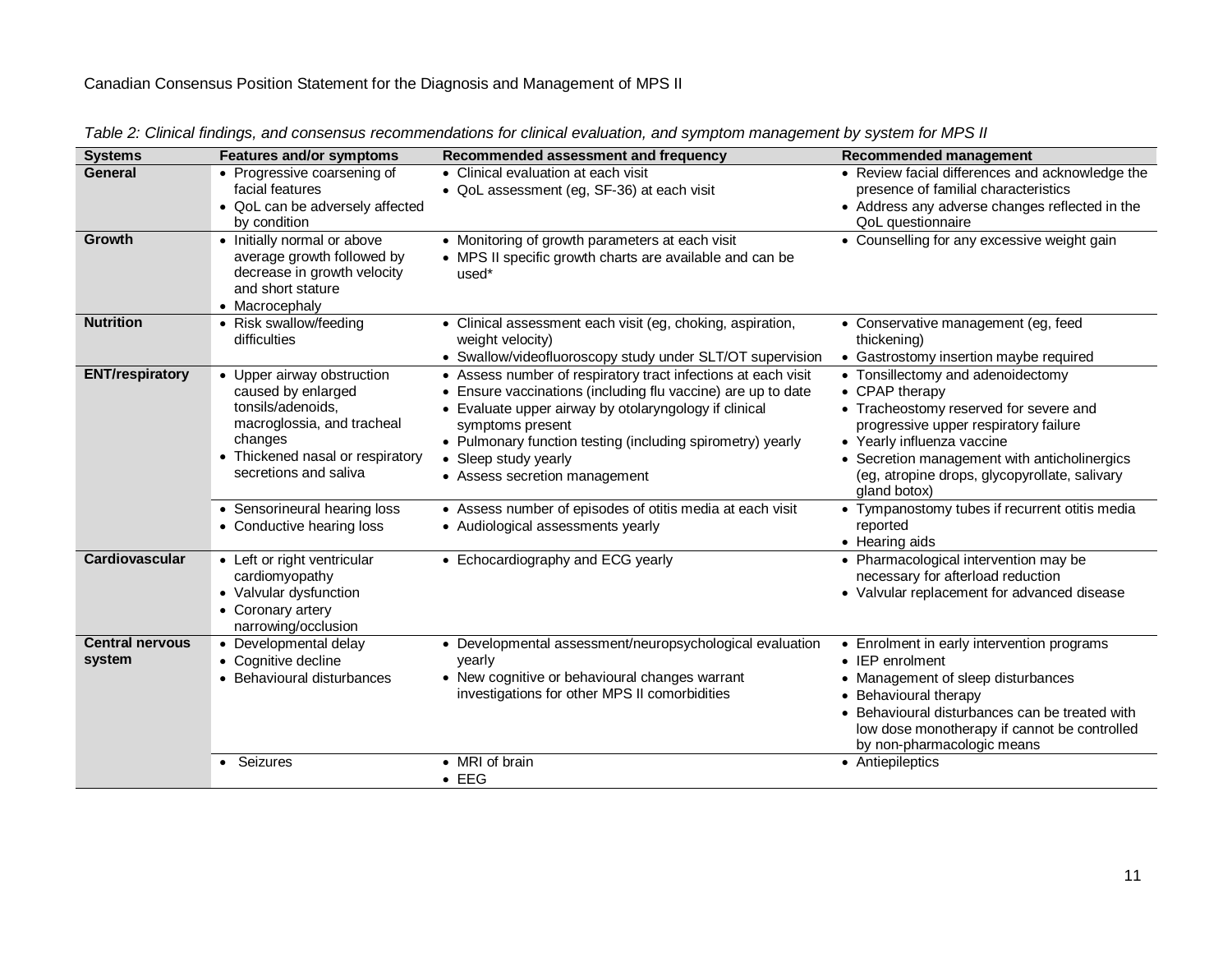| <b>Systems</b>                   | <b>Features and/or symptoms</b>                                                                                                                                             | Recommended assessment and frequency                                                                                                                                                                                                                                                                                            | Recommended management                                                                                                                                                                                                                                                                |
|----------------------------------|-----------------------------------------------------------------------------------------------------------------------------------------------------------------------------|---------------------------------------------------------------------------------------------------------------------------------------------------------------------------------------------------------------------------------------------------------------------------------------------------------------------------------|---------------------------------------------------------------------------------------------------------------------------------------------------------------------------------------------------------------------------------------------------------------------------------------|
| <b>General</b>                   | • Progressive coarsening of<br>facial features<br>• QoL can be adversely affected<br>by condition                                                                           | • Clinical evaluation at each visit<br>• QoL assessment (eg, SF-36) at each visit                                                                                                                                                                                                                                               | • Review facial differences and acknowledge the<br>presence of familial characteristics<br>• Address any adverse changes reflected in the<br>QoL questionnaire                                                                                                                        |
| Growth                           | • Initially normal or above<br>average growth followed by<br>decrease in growth velocity<br>and short stature<br>• Macrocephaly                                             | • Monitoring of growth parameters at each visit<br>• MPS II specific growth charts are available and can be<br>used*                                                                                                                                                                                                            | • Counselling for any excessive weight gain                                                                                                                                                                                                                                           |
| <b>Nutrition</b>                 | • Risk swallow/feeding<br>difficulties                                                                                                                                      | • Clinical assessment each visit (eg, choking, aspiration,<br>weight velocity)<br>• Swallow/videofluoroscopy study under SLT/OT supervision                                                                                                                                                                                     | • Conservative management (eg, feed<br>thickening)<br>• Gastrostomy insertion maybe required                                                                                                                                                                                          |
| <b>ENT/respiratory</b>           | • Upper airway obstruction<br>caused by enlarged<br>tonsils/adenoids,<br>macroglossia, and tracheal<br>changes<br>• Thickened nasal or respiratory<br>secretions and saliva | • Assess number of respiratory tract infections at each visit<br>Ensure vaccinations (including flu vaccine) are up to date<br>• Evaluate upper airway by otolaryngology if clinical<br>symptoms present<br>• Pulmonary function testing (including spirometry) yearly<br>• Sleep study yearly<br>• Assess secretion management | • Tonsillectomy and adenoidectomy<br>• CPAP therapy<br>• Tracheostomy reserved for severe and<br>progressive upper respiratory failure<br>• Yearly influenza vaccine<br>• Secretion management with anticholinergics<br>(eg, atropine drops, glycopyrollate, salivary<br>gland botox) |
|                                  | • Sensorineural hearing loss<br>• Conductive hearing loss                                                                                                                   | • Assess number of episodes of otitis media at each visit<br>• Audiological assessments yearly                                                                                                                                                                                                                                  | • Tympanostomy tubes if recurrent otitis media<br>reported<br>• Hearing aids                                                                                                                                                                                                          |
| Cardiovascular                   | • Left or right ventricular<br>cardiomyopathy<br>• Valvular dysfunction<br>• Coronary artery<br>narrowing/occlusion                                                         | • Echocardiography and ECG yearly                                                                                                                                                                                                                                                                                               | • Pharmacological intervention may be<br>necessary for afterload reduction<br>• Valvular replacement for advanced disease                                                                                                                                                             |
| <b>Central nervous</b><br>system | • Developmental delay<br>• Cognitive decline<br>• Behavioural disturbances                                                                                                  | • Developmental assessment/neuropsychological evaluation<br>vearly<br>• New cognitive or behavioural changes warrant<br>investigations for other MPS II comorbidities                                                                                                                                                           | • Enrolment in early intervention programs<br>• IEP enrolment<br>• Management of sleep disturbances<br>• Behavioural therapy<br>• Behavioural disturbances can be treated with<br>low dose monotherapy if cannot be controlled<br>by non-pharmacologic means                          |
|                                  | Seizures                                                                                                                                                                    | • MRI of brain<br>$\bullet$ EEG                                                                                                                                                                                                                                                                                                 | • Antiepileptics                                                                                                                                                                                                                                                                      |

Table 2: Clinical findings, and consensus recommendations for clinical evaluation, and symptom management by system for MPS II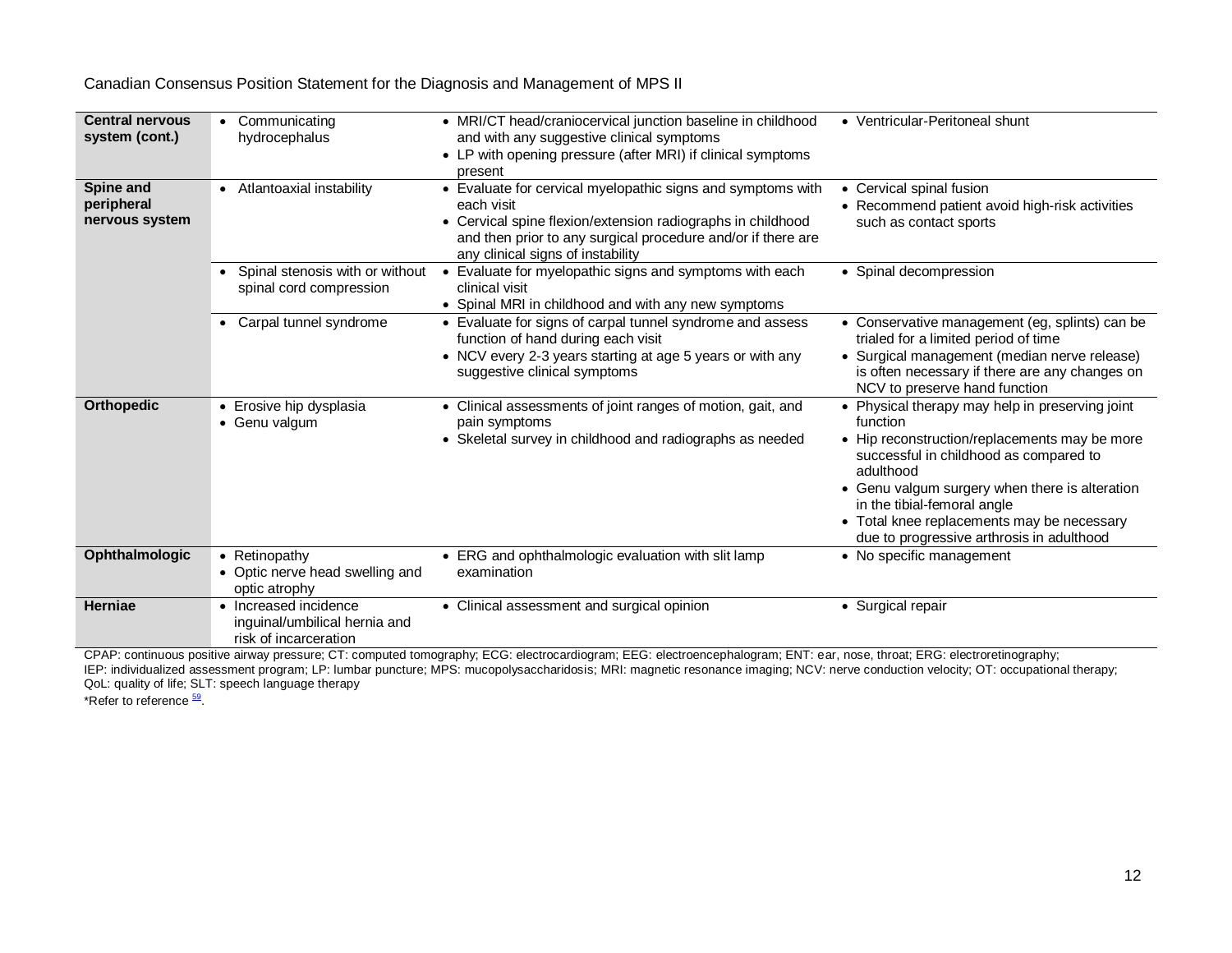| <b>Central nervous</b><br>system (cont.)  | Communicating<br>$\bullet$<br>hydrocephalus                                     | • MRI/CT head/craniocervical junction baseline in childhood<br>and with any suggestive clinical symptoms<br>• LP with opening pressure (after MRI) if clinical symptoms<br>present                                                            | • Ventricular-Peritoneal shunt                                                                                                                                                                                                                                                                                                                  |
|-------------------------------------------|---------------------------------------------------------------------------------|-----------------------------------------------------------------------------------------------------------------------------------------------------------------------------------------------------------------------------------------------|-------------------------------------------------------------------------------------------------------------------------------------------------------------------------------------------------------------------------------------------------------------------------------------------------------------------------------------------------|
| Spine and<br>peripheral<br>nervous system | • Atlantoaxial instability                                                      | • Evaluate for cervical myelopathic signs and symptoms with<br>each visit<br>• Cervical spine flexion/extension radiographs in childhood<br>and then prior to any surgical procedure and/or if there are<br>any clinical signs of instability | • Cervical spinal fusion<br>• Recommend patient avoid high-risk activities<br>such as contact sports                                                                                                                                                                                                                                            |
|                                           | Spinal stenosis with or without<br>spinal cord compression                      | Evaluate for myelopathic signs and symptoms with each<br>clinical visit<br>• Spinal MRI in childhood and with any new symptoms                                                                                                                | • Spinal decompression                                                                                                                                                                                                                                                                                                                          |
|                                           | Carpal tunnel syndrome                                                          | • Evaluate for signs of carpal tunnel syndrome and assess<br>function of hand during each visit<br>• NCV every 2-3 years starting at age 5 years or with any<br>suggestive clinical symptoms                                                  | • Conservative management (eg, splints) can be<br>trialed for a limited period of time<br>• Surgical management (median nerve release)<br>is often necessary if there are any changes on<br>NCV to preserve hand function                                                                                                                       |
| <b>Orthopedic</b>                         | • Erosive hip dysplasia<br>• Genu valgum                                        | • Clinical assessments of joint ranges of motion, gait, and<br>pain symptoms<br>• Skeletal survey in childhood and radiographs as needed                                                                                                      | • Physical therapy may help in preserving joint<br>function<br>• Hip reconstruction/replacements may be more<br>successful in childhood as compared to<br>adulthood<br>• Genu valgum surgery when there is alteration<br>in the tibial-femoral angle<br>• Total knee replacements may be necessary<br>due to progressive arthrosis in adulthood |
| Ophthalmologic                            | • Retinopathy<br>• Optic nerve head swelling and<br>optic atrophy               | • ERG and ophthalmologic evaluation with slit lamp<br>examination                                                                                                                                                                             | • No specific management                                                                                                                                                                                                                                                                                                                        |
| <b>Herniae</b>                            | • Increased incidence<br>inguinal/umbilical hernia and<br>risk of incarceration | • Clinical assessment and surgical opinion                                                                                                                                                                                                    | • Surgical repair                                                                                                                                                                                                                                                                                                                               |

CPAP: continuous positive airway pressure; CT: computed tomography; ECG: electrocardiogram; EEG: electroencephalogram; ENT: ear, nose, throat; ERG: electroretinography; IEP: individualized assessment program; LP: lumbar puncture; MPS: mucopolysaccharidosis; MRI: magnetic resonance imaging; NCV: nerve conduction velocity; OT: occupational therapy; QoL: quality of life; SLT: speech language therapy

\*Refer to reference  $\frac{59}{2}$  $\frac{59}{2}$  $\frac{59}{2}$ .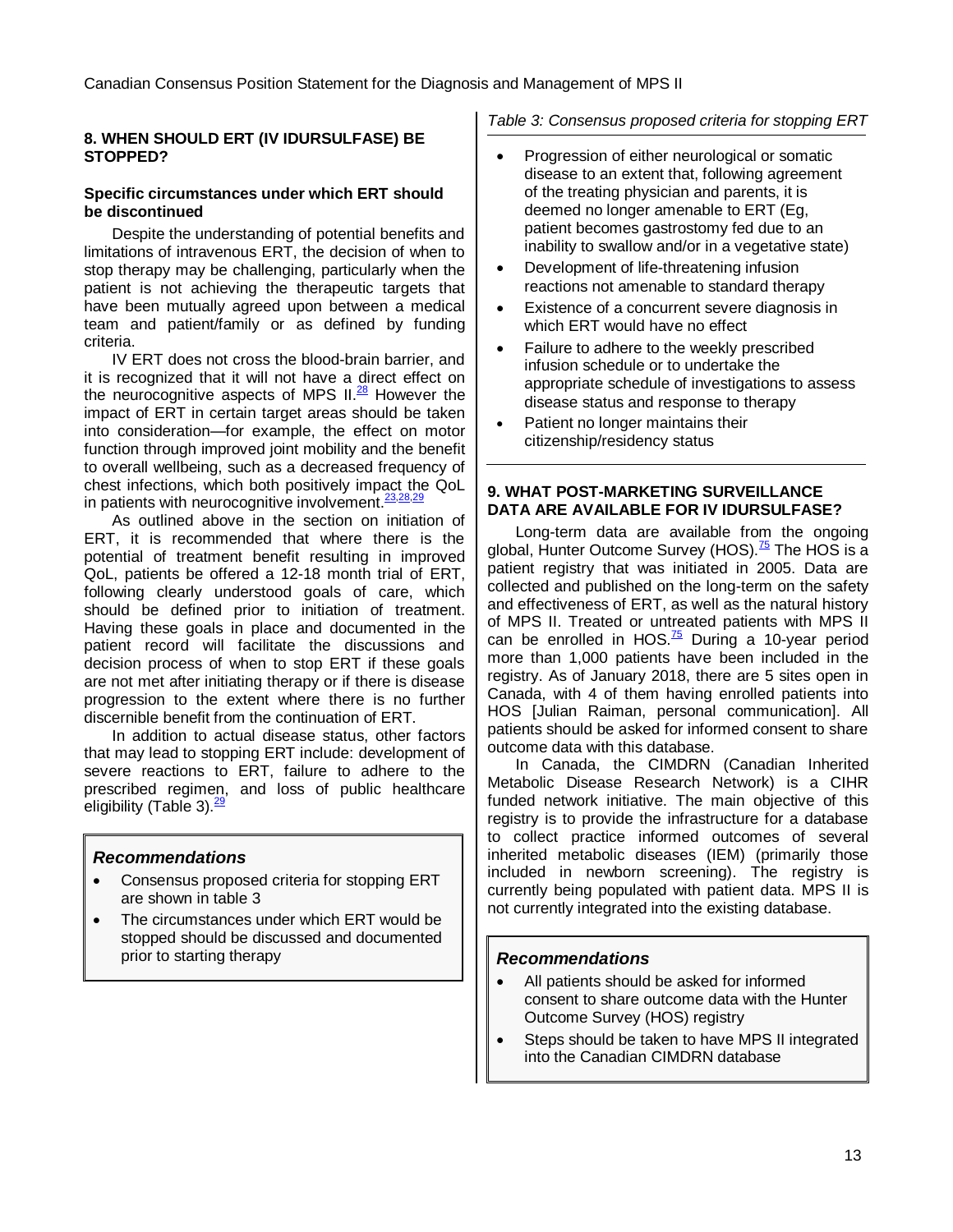#### **8. WHEN SHOULD ERT (IV IDURSULFASE) BE STOPPED?**

#### **Specific circumstances under which ERT should be discontinued**

Despite the understanding of potential benefits and limitations of intravenous ERT, the decision of when to stop therapy may be challenging, particularly when the patient is not achieving the therapeutic targets that have been mutually agreed upon between a medical team and patient/family or as defined by funding criteria.

IV ERT does not cross the blood-brain barrier, and it is recognized that it will not have a direct effect on the neurocognitive aspects of MPS  $II<sup>28</sup>$  $II<sup>28</sup>$  $II<sup>28</sup>$  However the impact of ERT in certain target areas should be taken into consideration—for example, the effect on motor function through improved joint mobility and the benefit to overall wellbeing, such as a decreased frequency of chest infections, which both positively impact the QoL in patients with neurocognitive involvement.<sup>[23](#page-17-4)[,28](#page-17-9)[,29](#page-17-10)</sup>

As outlined above in the section on initiation of ERT, it is recommended that where there is the potential of treatment benefit resulting in improved QoL, patients be offered a 12-18 month trial of ERT, following clearly understood goals of care, which should be defined prior to initiation of treatment. Having these goals in place and documented in the patient record will facilitate the discussions and decision process of when to stop ERT if these goals are not met after initiating therapy or if there is disease progression to the extent where there is no further discernible benefit from the continuation of ERT.

In addition to actual disease status, other factors that may lead to stopping ERT include: development of severe reactions to ERT, failure to adhere to the prescribed regimen, and loss of public healthcare eligibility (Table 3).<sup>[29](#page-17-10)</sup>

## **Recommendations**

- Consensus proposed criteria for stopping ERT are shown in table 3
- The circumstances under which ERT would be stopped should be discussed and documented prior to starting therapy

## Table 3: Consensus proposed criteria for stopping ERT

- Progression of either neurological or somatic disease to an extent that, following agreement of the treating physician and parents, it is deemed no longer amenable to ERT (Eg, patient becomes gastrostomy fed due to an inability to swallow and/or in a vegetative state)
- Development of life-threatening infusion reactions not amenable to standard therapy
- Existence of a concurrent severe diagnosis in which ERT would have no effect
- Failure to adhere to the weekly prescribed infusion schedule or to undertake the appropriate schedule of investigations to assess disease status and response to therapy
- Patient no longer maintains their citizenship/residency status

#### **9. WHAT POST-MARKETING SURVEILLANCE DATA ARE AVAILABLE FOR IV IDURSULFASE?**

Long-term data are available from the ongoing global, Hunter Outcome Survey (HOS).<sup>[75](#page-18-22)</sup> The HOS is a patient registry that was initiated in 2005. Data are collected and published on the long-term on the safety and effectiveness of ERT, as well as the natural history of MPS II. Treated or untreated patients with MPS II can be enrolled in HOS. $^{75}$  $^{75}$  $^{75}$  During a 10-year period more than 1,000 patients have been included in the registry. As of January 2018, there are 5 sites open in Canada, with 4 of them having enrolled patients into HOS [Julian Raiman, personal communication]. All patients should be asked for informed consent to share outcome data with this database.

In Canada, the CIMDRN (Canadian Inherited Metabolic Disease Research Network) is a CIHR funded network initiative. The main objective of this registry is to provide the infrastructure for a database to collect practice informed outcomes of several inherited metabolic diseases (IEM) (primarily those included in newborn screening). The registry is currently being populated with patient data. MPS II is not currently integrated into the existing database.

## **Recommendations**

- All patients should be asked for informed consent to share outcome data with the Hunter Outcome Survey (HOS) registry
- Steps should be taken to have MPS II integrated into the Canadian CIMDRN database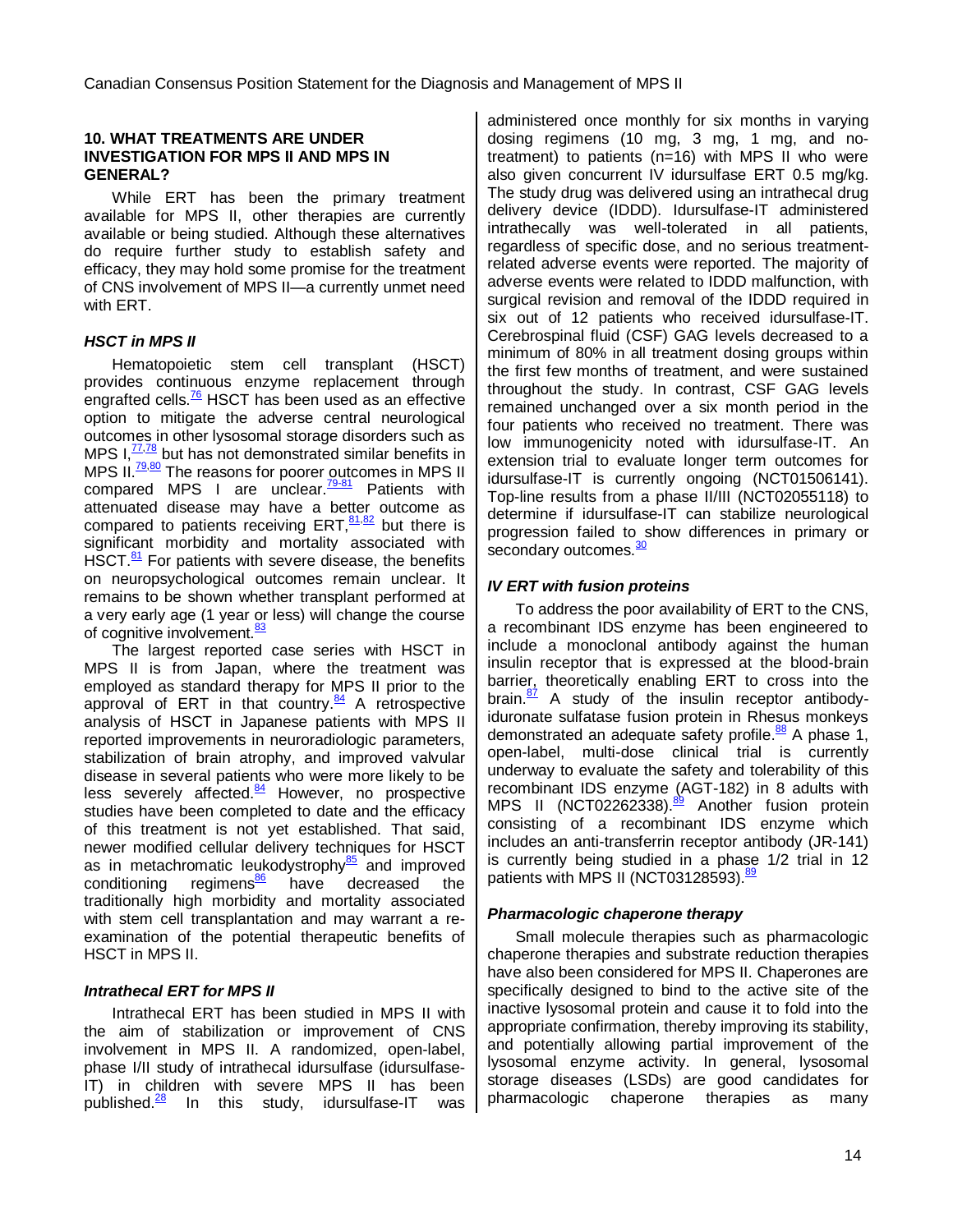#### **10. WHAT TREATMENTS ARE UNDER INVESTIGATION FOR MPS II AND MPS IN GENERAL?**

While ERT has been the primary treatment available for MPS II, other therapies are currently available or being studied. Although these alternatives do require further study to establish safety and efficacy, they may hold some promise for the treatment of CNS involvement of MPS II—a currently unmet need with ERT.

### **HSCT in MPS II**

Hematopoietic stem cell transplant (HSCT) provides continuous enzyme replacement through engrafted cells. $\frac{76}{6}$  $\frac{76}{6}$  $\frac{76}{6}$  HSCT has been used as an effective option to mitigate the adverse central neurological outcomes in other lysosomal storage disorders such as MPS  $I<sub>1</sub><sup>77,78</sup>$  $I<sub>1</sub><sup>77,78</sup>$  $I<sub>1</sub><sup>77,78</sup>$  $I<sub>1</sub><sup>77,78</sup>$  but has not demonstrated similar benefits in MPS II.<sup>[79](#page-18-26)[,80](#page-18-27)</sup> The reasons for poorer outcomes in MPS II compared MPS I are unclear. $\frac{79-81}{2}$  $\frac{79-81}{2}$  $\frac{79-81}{2}$  Patients with attenuated disease may have a better outcome as compared to patients receiving ERT, $81,82$  $81,82$  but there is significant morbidity and mortality associated with HSCT. $^{81}$  $^{81}$  $^{81}$  For patients with severe disease, the benefits on neuropsychological outcomes remain unclear. It remains to be shown whether transplant performed at a very early age (1 year or less) will change the course of cognitive involvement.<sup>[83](#page-18-30)</sup>

The largest reported case series with HSCT in MPS II is from Japan, where the treatment was employed as standard therapy for MPS II prior to the approval of ERT in that country.<sup>[84](#page-18-31)</sup> A retrospective analysis of HSCT in Japanese patients with MPS II reported improvements in neuroradiologic parameters, stabilization of brain atrophy, and improved valvular disease in several patients who were more likely to be less severely affected.<sup>[84](#page-18-31)</sup> However, no prospective studies have been completed to date and the efficacy of this treatment is not yet established. That said, newer modified cellular delivery techniques for HSCT as in metachromatic leukodystrophy $\frac{85}{2}$  $\frac{85}{2}$  $\frac{85}{2}$  and improved conditioning regimens<sup>[86](#page-18-33)</sup> have decreased the traditionally high morbidity and mortality associated with stem cell transplantation and may warrant a reexamination of the potential therapeutic benefits of HSCT in MPS II.

#### **Intrathecal ERT for MPS II**

Intrathecal ERT has been studied in MPS II with the aim of stabilization or improvement of CNS involvement in MPS II. A randomized, open-label, phase I/II study of intrathecal idursulfase (idursulfase-IT) in children with severe MPS II has been published.<sup>[28](#page-17-9)</sup> In this study, idursulfase-IT was

administered once monthly for six months in varying dosing regimens (10 mg, 3 mg, 1 mg, and notreatment) to patients (n=16) with MPS II who were also given concurrent IV idursulfase ERT 0.5 mg/kg. The study drug was delivered using an intrathecal drug delivery device (IDDD). Idursulfase-IT administered intrathecally was well-tolerated in all patients, regardless of specific dose, and no serious treatmentrelated adverse events were reported. The majority of adverse events were related to IDDD malfunction, with surgical revision and removal of the IDDD required in six out of 12 patients who received idursulfase-IT. Cerebrospinal fluid (CSF) GAG levels decreased to a minimum of 80% in all treatment dosing groups within the first few months of treatment, and were sustained throughout the study. In contrast, CSF GAG levels remained unchanged over a six month period in the four patients who received no treatment. There was low immunogenicity noted with idursulfase-IT. An extension trial to evaluate longer term outcomes for idursulfase-IT is currently ongoing (NCT01506141). Top-line results from a phase II/III (NCT02055118) to determine if idursulfase-IT can stabilize neurological progression failed to show differences in primary or secondary outcomes.<sup>[30](#page-17-11)</sup>

## **IV ERT with fusion proteins**

To address the poor availability of ERT to the CNS, a recombinant IDS enzyme has been engineered to include a monoclonal antibody against the human insulin receptor that is expressed at the blood-brain barrier, theoretically enabling ERT to cross into the brain.<sup>[87](#page-18-34)</sup> A study of the insulin receptor antibodyiduronate sulfatase fusion protein in Rhesus monkeys demonstrated an adequate safety profile.<sup>[88](#page-18-35)</sup> A phase 1, open-label, multi-dose clinical trial is currently underway to evaluate the safety and tolerability of this recombinant IDS enzyme (AGT-182) in 8 adults with MPS II (NCT02262338).<sup>[89](#page-18-36)</sup> Another fusion protein consisting of a recombinant IDS enzyme which includes an anti-transferrin receptor antibody (JR-141) is currently being studied in a phase 1/2 trial in 12 patients with MPS II (NCT03128593). $\frac{89}{10}$  $\frac{89}{10}$  $\frac{89}{10}$ 

#### **Pharmacologic chaperone therapy**

Small molecule therapies such as pharmacologic chaperone therapies and substrate reduction therapies have also been considered for MPS II. Chaperones are specifically designed to bind to the active site of the inactive lysosomal protein and cause it to fold into the appropriate confirmation, thereby improving its stability, and potentially allowing partial improvement of the lysosomal enzyme activity. In general, lysosomal storage diseases (LSDs) are good candidates for pharmacologic chaperone therapies as many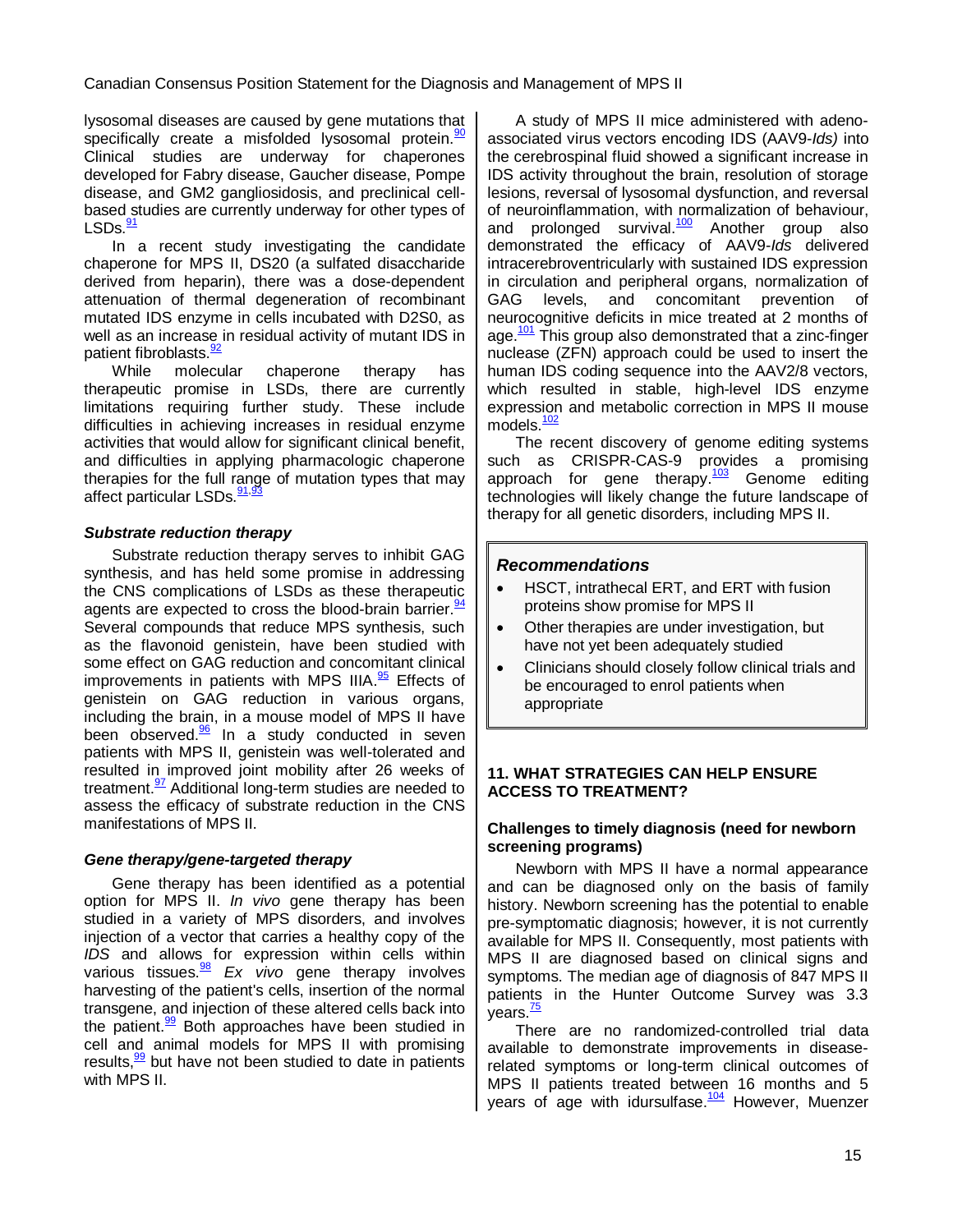lysosomal diseases are caused by gene mutations that specifically create a misfolded lysosomal protein.<sup>[90](#page-18-37)</sup> Clinical studies are underway for chaperones developed for Fabry disease, Gaucher disease, Pompe disease, and GM2 gangliosidosis, and preclinical cellbased studies are currently underway for other types of LSDs.<sup>[91](#page-19-0)</sup>

In a recent study investigating the candidate chaperone for MPS II, DS20 (a sulfated disaccharide derived from heparin), there was a dose-dependent attenuation of thermal degeneration of recombinant mutated IDS enzyme in cells incubated with D2S0, as well as an increase in residual activity of mutant IDS in patient fibroblasts.<sup>[92](#page-19-1)</sup>

While molecular chaperone therapy has therapeutic promise in LSDs, there are currently limitations requiring further study. These include difficulties in achieving increases in residual enzyme activities that would allow for significant clinical benefit, and difficulties in applying pharmacologic chaperone therapies for the full range of mutation types that may affect particular LSDs.<sup>[91,](#page-19-0)9</sup>

#### **Substrate reduction therapy**

Substrate reduction therapy serves to inhibit GAG synthesis, and has held some promise in addressing the CNS complications of LSDs as these therapeutic agents are expected to cross the blood-brain barrier.  $\frac{94}{6}$  $\frac{94}{6}$  $\frac{94}{6}$ Several compounds that reduce MPS synthesis, such as the flavonoid genistein, have been studied with some effect on GAG reduction and concomitant clinical improvements in patients with MPS IIIA.<sup>[95](#page-19-4)</sup> Effects of genistein on GAG reduction in various organs, including the brain, in a mouse model of MPS II have been observed.<sup>[96](#page-19-5)</sup> In a study conducted in seven patients with MPS II, genistein was well-tolerated and resulted in improved joint mobility after 26 weeks of treatment.<sup>[97](#page-19-6)</sup> Additional long-term studies are needed to assess the efficacy of substrate reduction in the CNS manifestations of MPS II.

#### **Gene therapy/gene-targeted therapy**

Gene therapy has been identified as a potential option for MPS II. In vivo gene therapy has been studied in a variety of MPS disorders, and involves injection of a vector that carries a healthy copy of the IDS and allows for expression within cells within various tissues. $\frac{98}{2}$  $\frac{98}{2}$  $\frac{98}{2}$  Ex vivo gene therapy involves harvesting of the patient's cells, insertion of the normal transgene, and injection of these altered cells back into the patient. $\frac{99}{2}$  $\frac{99}{2}$  $\frac{99}{2}$  Both approaches have been studied in cell and animal models for MPS II with promising results,<sup>[99](#page-19-8)</sup> but have not been studied to date in patients with MPS II.

A study of MPS II mice administered with adenoassociated virus vectors encoding IDS (AAV9-Ids) into the cerebrospinal fluid showed a significant increase in IDS activity throughout the brain, resolution of storage lesions, reversal of lysosomal dysfunction, and reversal of neuroinflammation, with normalization of behaviour, and prolonged survival.<sup>[100](#page-19-9)</sup> Another group also demonstrated the efficacy of AAV9-Ids delivered intracerebroventricularly with sustained IDS expression in circulation and peripheral organs, normalization of GAG levels, and concomitant prevention of neurocognitive deficits in mice treated at 2 months of age.<sup>[101](#page-19-10)</sup> This group also demonstrated that a zinc-finger nuclease (ZFN) approach could be used to insert the human IDS coding sequence into the AAV2/8 vectors, which resulted in stable, high-level IDS enzyme expression and metabolic correction in MPS II mouse models.<sup>[102](#page-19-11)</sup>

The recent discovery of genome editing systems such as CRISPR-CAS-9 provides a promising approach for gene therapy.<sup>[103](#page-19-12)</sup> Genome editing technologies will likely change the future landscape of therapy for all genetic disorders, including MPS II.

### **Recommendations**

- HSCT, intrathecal ERT, and ERT with fusion proteins show promise for MPS II
- Other therapies are under investigation, but have not yet been adequately studied
- Clinicians should closely follow clinical trials and be encouraged to enrol patients when appropriate

#### **11. WHAT STRATEGIES CAN HELP ENSURE ACCESS TO TREATMENT?**

#### **Challenges to timely diagnosis (need for newborn screening programs)**

Newborn with MPS II have a normal appearance and can be diagnosed only on the basis of family history. Newborn screening has the potential to enable pre-symptomatic diagnosis; however, it is not currently available for MPS II. Consequently, most patients with MPS II are diagnosed based on clinical signs and symptoms. The median age of diagnosis of 847 MPS II patients in the Hunter Outcome Survey was 3.3 years.<sup>[75](#page-18-22)</sup>

There are no randomized-controlled trial data available to demonstrate improvements in diseaserelated symptoms or long-term clinical outcomes of MPS II patients treated between 16 months and 5 years of age with idursulfase.<sup>[104](#page-19-13)</sup> However, Muenzer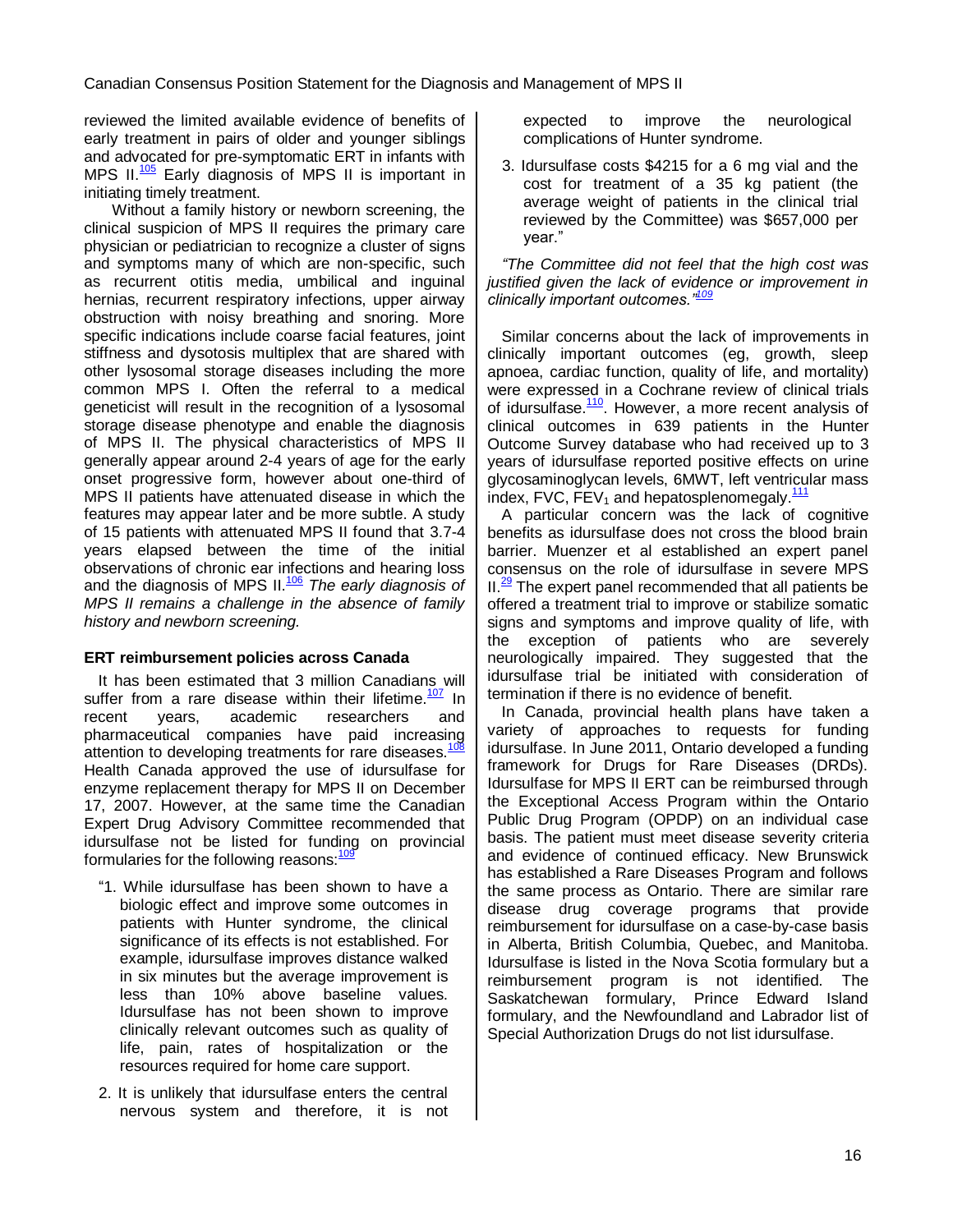reviewed the limited available evidence of benefits of early treatment in pairs of older and younger siblings and advocated for pre-symptomatic ERT in infants with MPS II. $\frac{105}{105}$  $\frac{105}{105}$  $\frac{105}{105}$  Early diagnosis of MPS II is important in initiating timely treatment.

Without a family history or newborn screening, the clinical suspicion of MPS II requires the primary care physician or pediatrician to recognize a cluster of signs and symptoms many of which are non-specific, such as recurrent otitis media, umbilical and inguinal hernias, recurrent respiratory infections, upper airway obstruction with noisy breathing and snoring. More specific indications include coarse facial features, joint stiffness and dysotosis multiplex that are shared with other lysosomal storage diseases including the more common MPS I. Often the referral to a medical geneticist will result in the recognition of a lysosomal storage disease phenotype and enable the diagnosis of MPS II. The physical characteristics of MPS II generally appear around 2-4 years of age for the early onset progressive form, however about one-third of MPS II patients have attenuated disease in which the features may appear later and be more subtle. A study of 15 patients with attenuated MPS II found that 3.7-4 years elapsed between the time of the initial observations of chronic ear infections and hearing loss and the diagnosis of MPS  $II.^{106}$  $II.^{106}$  $II.^{106}$  The early diagnosis of MPS II remains a challenge in the absence of family history and newborn screening.

#### **ERT reimbursement policies across Canada**

It has been estimated that 3 million Canadians will suffer from a rare disease within their lifetime.<sup>[107](#page-19-16)</sup> In recent years, academic researchers and pharmaceutical companies have paid increasing attention to developing treatments for rare diseases.<sup>[108](#page-19-17)</sup> Health Canada approved the use of idursulfase for enzyme replacement therapy for MPS II on December 17, 2007. However, at the same time the Canadian Expert Drug Advisory Committee recommended that idursulfase not be listed for funding on provincial formularies for the following reasons:<sup>[109](#page-19-18)</sup>

- ―1. While idursulfase has been shown to have a biologic effect and improve some outcomes in patients with Hunter syndrome, the clinical significance of its effects is not established. For example, idursulfase improves distance walked in six minutes but the average improvement is less than 10% above baseline values. Idursulfase has not been shown to improve clinically relevant outcomes such as quality of life, pain, rates of hospitalization or the resources required for home care support.
- 2. It is unlikely that idursulfase enters the central nervous system and therefore, it is not

expected to improve the neurological complications of Hunter syndrome.

3. Idursulfase costs \$4215 for a 6 mg vial and the cost for treatment of a 35 kg patient (the average weight of patients in the clinical trial reviewed by the Committee) was \$657,000 per year."

*"*The Committee did not feel that the high cost was justified given the lack of evidence or improvement in *clinically important outcomes."*[109](#page-19-18)

Similar concerns about the lack of improvements in clinically important outcomes (eg, growth, sleep apnoea, cardiac function, quality of life, and mortality) were expressed in a Cochrane review of clinical trials of idursulfase.<sup>[110](#page-19-19)</sup>. However, a more recent analysis of clinical outcomes in 639 patients in the Hunter Outcome Survey database who had received up to 3 years of idursulfase reported positive effects on urine glycosaminoglycan levels, 6MWT, left ventricular mass index, FVC,  $FEV_1$  and hepatosplenomegaly. $111$ 

A particular concern was the lack of cognitive benefits as idursulfase does not cross the blood brain barrier. Muenzer et al established an expert panel consensus on the role of idursulfase in severe MPS  $II<sup>29</sup>$  $II<sup>29</sup>$  $II<sup>29</sup>$  The expert panel recommended that all patients be offered a treatment trial to improve or stabilize somatic signs and symptoms and improve quality of life, with the exception of patients who are severely neurologically impaired. They suggested that the idursulfase trial be initiated with consideration of termination if there is no evidence of benefit.

In Canada, provincial health plans have taken a variety of approaches to requests for funding idursulfase. In June 2011, Ontario developed a funding framework for Drugs for Rare Diseases (DRDs). Idursulfase for MPS II ERT can be reimbursed through the Exceptional Access Program within the Ontario Public Drug Program (OPDP) on an individual case basis. The patient must meet disease severity criteria and evidence of continued efficacy. New Brunswick has established a Rare Diseases Program and follows the same process as Ontario. There are similar rare disease drug coverage programs that provide reimbursement for idursulfase on a case-by-case basis in Alberta, British Columbia, Quebec, and Manitoba. Idursulfase is listed in the Nova Scotia formulary but a reimbursement program is not identified. The Saskatchewan formulary, Prince Edward Island formulary, and the Newfoundland and Labrador list of Special Authorization Drugs do not list idursulfase.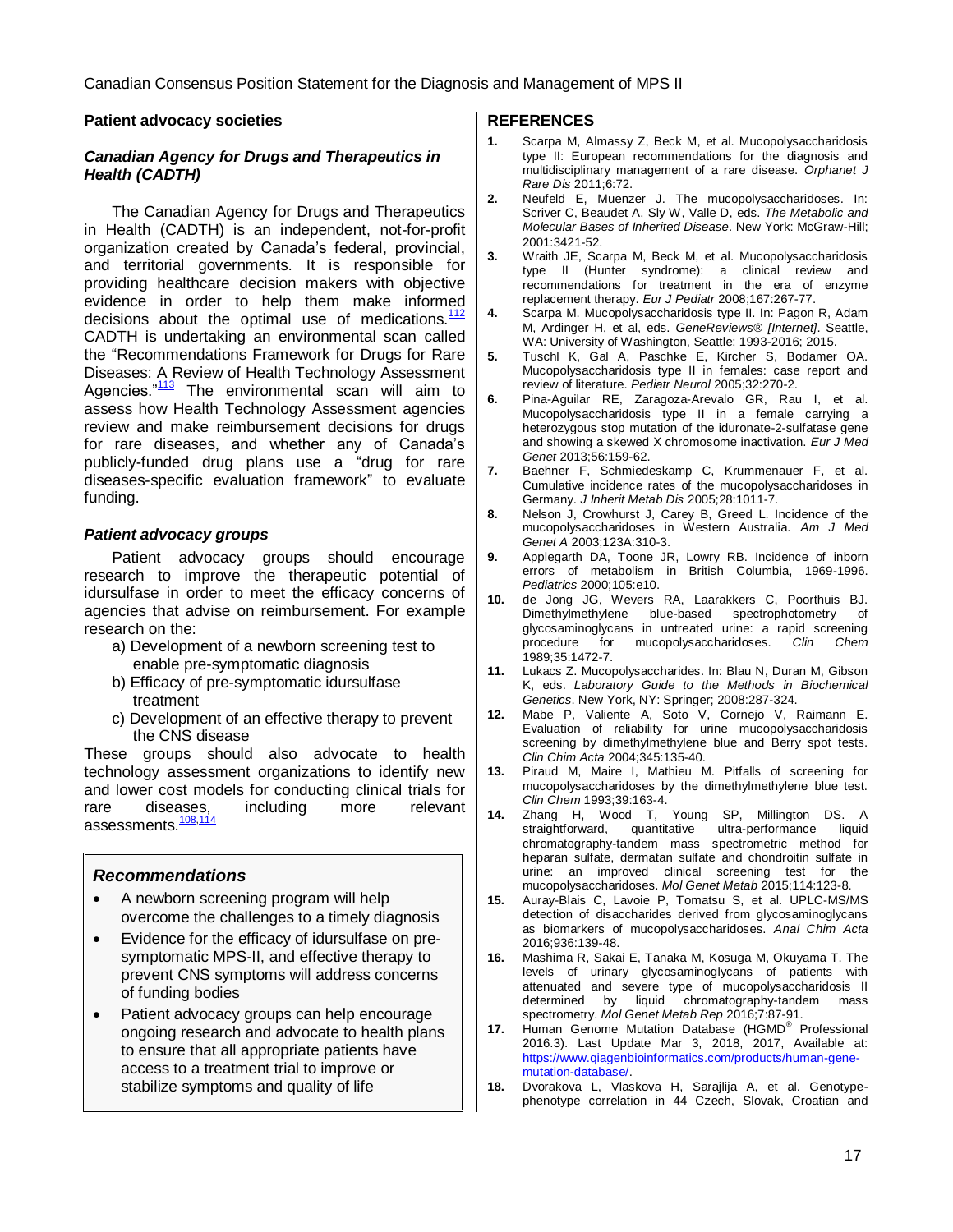#### **Patient advocacy societies**

#### **Canadian Agency for Drugs and Therapeutics in Health (CADTH)**

The Canadian Agency for Drugs and Therapeutics in Health (CADTH) is an independent, not-for-profit organization created by Canada's federal, provincial, and territorial governments. It is responsible for providing healthcare decision makers with objective evidence in order to help them make informed decisions about the optimal use of medications. $112$ CADTH is undertaking an environmental scan called the "Recommendations Framework for Drugs for Rare Diseases: A Review of Health Technology Assessment Agencies."<sup>[113](#page-19-22)</sup> The environmental scan will aim to assess how Health Technology Assessment agencies review and make reimbursement decisions for drugs for rare diseases, and whether any of Canada's publicly-funded drug plans use a "drug for rare diseases-specific evaluation framework" to evaluate funding.

#### **Patient advocacy groups**

Patient advocacy groups should encourage research to improve the therapeutic potential of idursulfase in order to meet the efficacy concerns of agencies that advise on reimbursement. For example research on the:

- a) Development of a newborn screening test to enable pre-symptomatic diagnosis
- b) Efficacy of pre-symptomatic idursulfase treatment
- c) Development of an effective therapy to prevent the CNS disease

These groups should also advocate to health technology assessment organizations to identify new and lower cost models for conducting clinical trials for and lower cost models is sensitively because of the relevant assessments.<sup>[108,](#page-19-17)11</sup>

#### **Recommendations**

- A newborn screening program will help overcome the challenges to a timely diagnosis
- Evidence for the efficacy of idursulfase on presymptomatic MPS-II, and effective therapy to prevent CNS symptoms will address concerns of funding bodies
- Patient advocacy groups can help encourage ongoing research and advocate to health plans to ensure that all appropriate patients have access to a treatment trial to improve or stabilize symptoms and quality of life

#### **REFERENCES**

- <span id="page-16-0"></span>**1.** Scarpa M, Almassy Z, Beck M, et al. Mucopolysaccharidosis type II: European recommendations for the diagnosis and multidisciplinary management of a rare disease. Orphanet J Rare Dis 2011;6:72.
- <span id="page-16-1"></span>**2.** Neufeld E, Muenzer J. The mucopolysaccharidoses. In: Scriver C, Beaudet A, Sly W, Valle D, eds. The Metabolic and Molecular Bases of Inherited Disease. New York: McGraw-Hill; 2001:3421-52.
- <span id="page-16-2"></span>**3.** Wraith JE, Scarpa M, Beck M, et al. Mucopolysaccharidosis type II (Hunter syndrome): a clinical review and recommendations for treatment in the era of enzyme replacement therapy. Eur J Pediatr 2008;167:267-77.
- <span id="page-16-3"></span>**4.** Scarpa M. Mucopolysaccharidosis type II. In: Pagon R, Adam M, Ardinger H, et al, eds. GeneReviews® [Internet]. Seattle, WA: University of Washington, Seattle; 1993-2016; 2015.
- <span id="page-16-4"></span>**5.** Tuschl K, Gal A, Paschke E, Kircher S, Bodamer OA. Mucopolysaccharidosis type II in females: case report and review of literature. Pediatr Neurol 2005;32:270-2.
- <span id="page-16-5"></span>**6.** Pina-Aguilar RE, Zaragoza-Arevalo GR, Rau I, et al. Mucopolysaccharidosis type II in a female carrying a heterozygous stop mutation of the iduronate-2-sulfatase gene and showing a skewed X chromosome inactivation. Eur J Med Genet 2013;56:159-62.
- <span id="page-16-6"></span>**7.** Baehner F, Schmiedeskamp C, Krummenauer F, et al. Cumulative incidence rates of the mucopolysaccharidoses in Germany. J Inherit Metab Dis 2005;28:1011-7.
- <span id="page-16-7"></span>**8.** Nelson J, Crowhurst J, Carey B, Greed L. Incidence of the mucopolysaccharidoses in Western Australia. Am J Med Genet A 2003;123A:310-3.
- <span id="page-16-8"></span>**9.** Applegarth DA, Toone JR, Lowry RB. Incidence of inborn errors of metabolism in British Columbia, 1969-1996. Pediatrics 2000;105:e10.
- <span id="page-16-9"></span>**10.** de Jong JG, Wevers RA, Laarakkers C, Poorthuis BJ. Dimethylmethylene blue-based spectrophotometry of glycosaminoglycans in untreated urine: a rapid screening<br>procedure for mucopolysaccharidoses. Clin Chem  $\tilde{f}$  or mucopolysaccharidoses. 1989;35:1472-7.
- <span id="page-16-10"></span>**11.** Lukacs Z. Mucopolysaccharides. In: Blau N, Duran M, Gibson K, eds. Laboratory Guide to the Methods in Biochemical Genetics. New York, NY: Springer; 2008:287-324.
- <span id="page-16-11"></span>**12.** Mabe P, Valiente A, Soto V, Cornejo V, Raimann E. Evaluation of reliability for urine mucopolysaccharidosis screening by dimethylmethylene blue and Berry spot tests. Clin Chim Acta 2004;345:135-40.
- <span id="page-16-12"></span>**13.** Piraud M, Maire I, Mathieu M. Pitfalls of screening for mucopolysaccharidoses by the dimethylmethylene blue test. Clin Chem 1993;39:163-4.
- <span id="page-16-13"></span>**14.** Zhang H, Wood T, Young SP, Millington DS. A straightforward, quantitative ultra-performance liquid chromatography-tandem mass spectrometric method for heparan sulfate, dermatan sulfate and chondroitin sulfate in urine: an improved clinical screening test for the mucopolysaccharidoses. Mol Genet Metab 2015;114:123-8.
- <span id="page-16-14"></span>**15.** Auray-Blais C, Lavoie P, Tomatsu S, et al. UPLC-MS/MS detection of disaccharides derived from glycosaminoglycans as biomarkers of mucopolysaccharidoses. Anal Chim Acta 2016;936:139-48.
- <span id="page-16-15"></span>**16.** Mashima R, Sakai E, Tanaka M, Kosuga M, Okuyama T. The levels of urinary glycosaminoglycans of patients with attenuated and severe type of mucopolysaccharidosis II determined by liquid chromatography-tandem mass spectrometry. Mol Genet Metab Rep 2016;7:87-91.
- <span id="page-16-16"></span>**17.** Human Genome Mutation Database (HGMD® Professional 2016.3). Last Update Mar 3, 2018, 2017, Available at: [https://www.qiagenbioinformatics.com/products/human-gene](https://www.qiagenbioinformatics.com/products/human-gene-mutation-database/)[mutation-database/.](https://www.qiagenbioinformatics.com/products/human-gene-mutation-database/)
- <span id="page-16-17"></span>**18.** Dvorakova L, Vlaskova H, Sarajlija A, et al. Genotypephenotype correlation in 44 Czech, Slovak, Croatian and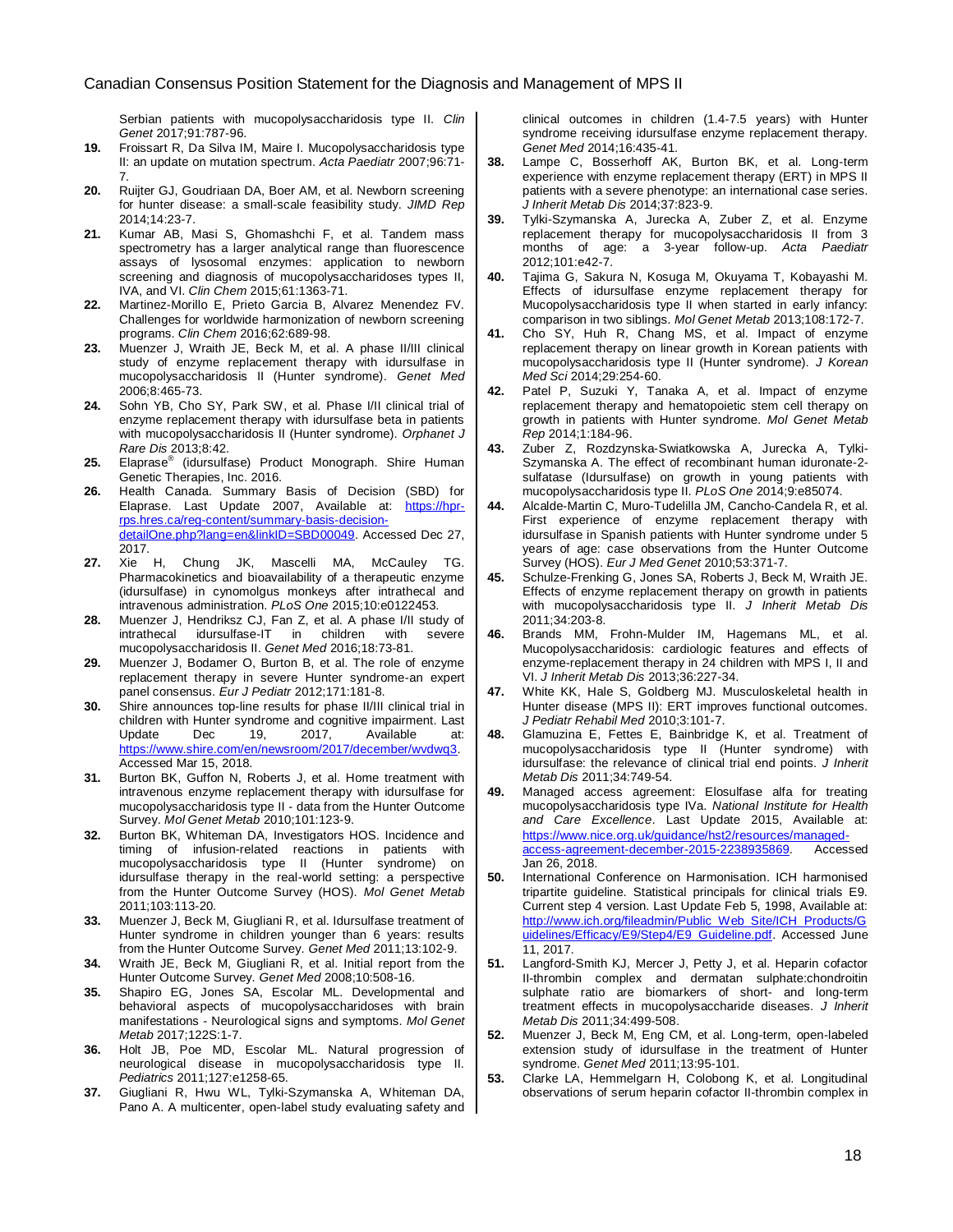Serbian patients with mucopolysaccharidosis type II. Clin Genet 2017;91:787-96.

- <span id="page-17-0"></span>**19.** Froissart R, Da Silva IM, Maire I. Mucopolysaccharidosis type II: an update on mutation spectrum. Acta Paediatr 2007;96:71- 7.
- <span id="page-17-1"></span>**20.** Ruijter GJ, Goudriaan DA, Boer AM, et al. Newborn screening for hunter disease: a small-scale feasibility study. JIMD Rep 2014;14:23-7.
- <span id="page-17-2"></span>**21.** Kumar AB, Masi S, Ghomashchi F, et al. Tandem mass spectrometry has a larger analytical range than fluorescence assays of lysosomal enzymes: application to newborn screening and diagnosis of mucopolysaccharidoses types II, IVA, and VI. Clin Chem 2015;61:1363-71.
- <span id="page-17-3"></span>**22.** Martinez-Morillo E, Prieto Garcia B, Alvarez Menendez FV. Challenges for worldwide harmonization of newborn screening programs. Clin Chem 2016;62:689-98.
- <span id="page-17-4"></span>**23.** Muenzer J, Wraith JE, Beck M, et al. A phase II/III clinical study of enzyme replacement therapy with idursulfase in mucopolysaccharidosis II (Hunter syndrome). Genet Med 2006;8:465-73.
- <span id="page-17-5"></span>**24.** Sohn YB, Cho SY, Park SW, et al. Phase I/II clinical trial of enzyme replacement therapy with idursulfase beta in patients with mucopolysaccharidosis II (Hunter syndrome). Orphanet J Rare Dis 2013;8:42.
- <span id="page-17-6"></span>**25.** Elaprase® (idursulfase) Product Monograph. Shire Human Genetic Therapies, Inc. 2016.
- <span id="page-17-7"></span>**26.** Health Canada. Summary Basis of Decision (SBD) for Elaprase. Last Update 2007, Available at: [https://hpr](https://hpr-rps.hres.ca/reg-content/summary-basis-decision-detailOne.php?lang=en&linkID=SBD00049)[rps.hres.ca/reg-content/summary-basis-decision](https://hpr-rps.hres.ca/reg-content/summary-basis-decision-detailOne.php?lang=en&linkID=SBD00049)[detailOne.php?lang=en&linkID=SBD00049.](https://hpr-rps.hres.ca/reg-content/summary-basis-decision-detailOne.php?lang=en&linkID=SBD00049) Accessed Dec 27, 2017.
- <span id="page-17-8"></span>**27.** Xie H, Chung JK, Mascelli MA, McCauley TG. Pharmacokinetics and bioavailability of a therapeutic enzyme (idursulfase) in cynomolgus monkeys after intrathecal and intravenous administration. PLoS One 2015;10:e0122453.
- <span id="page-17-9"></span>**28.** Muenzer J, Hendriksz CJ, Fan Z, et al. A phase I/II study of intrathecal idursulfase-IT in children with severe mucopolysaccharidosis II. Genet Med 2016;18:73-81.
- <span id="page-17-10"></span>**29.** Muenzer J, Bodamer O, Burton B, et al. The role of enzyme replacement therapy in severe Hunter syndrome-an expert panel consensus. Eur J Pediatr 2012;171:181-8.
- <span id="page-17-11"></span>**30.** Shire announces top-line results for phase II/III clinical trial in children with Hunter syndrome and cognitive impairment. Last<br>Update Dec 19. 2017. Available at: Update Dec 19, 2017, Available at: [https://www.shire.com/en/newsroom/2017/december/wvdwq3.](https://www.shire.com/en/newsroom/2017/december/wvdwq3) Accessed Mar 15, 2018.
- <span id="page-17-12"></span>**31.** Burton BK, Guffon N, Roberts J, et al. Home treatment with intravenous enzyme replacement therapy with idursulfase for mucopolysaccharidosis type II - data from the Hunter Outcome Survey. Mol Genet Metab 2010;101:123-9.
- <span id="page-17-13"></span>**32.** Burton BK, Whiteman DA, Investigators HOS. Incidence and timing of infusion-related reactions in patients with mucopolysaccharidosis type II (Hunter syndrome) on idursulfase therapy in the real-world setting: a perspective from the Hunter Outcome Survey (HOS). Mol Genet Metab 2011;103:113-20.
- <span id="page-17-14"></span>**33.** Muenzer J, Beck M, Giugliani R, et al. Idursulfase treatment of Hunter syndrome in children younger than 6 years: results from the Hunter Outcome Survey. Genet Med 2011;13:102-9.
- <span id="page-17-15"></span>**34.** Wraith JE, Beck M, Giugliani R, et al. Initial report from the Hunter Outcome Survey. Genet Med 2008;10:508-16.
- <span id="page-17-16"></span>**35.** Shapiro EG, Jones SA, Escolar ML. Developmental and behavioral aspects of mucopolysaccharidoses with brain manifestations - Neurological signs and symptoms. Mol Genet Metab 2017;122S:1-7.
- <span id="page-17-17"></span>**36.** Holt JB, Poe MD, Escolar ML. Natural progression of neurological disease in mucopolysaccharidosis type II. Pediatrics 2011;127:e1258-65.
- <span id="page-17-18"></span>**37.** Giugliani R, Hwu WL, Tylki-Szymanska A, Whiteman DA, Pano A. A multicenter, open-label study evaluating safety and

clinical outcomes in children (1.4-7.5 years) with Hunter syndrome receiving idursulfase enzyme replacement therapy. Genet Med 2014;16:435-41.

- <span id="page-17-19"></span>**38.** Lampe C, Bosserhoff AK, Burton BK, et al. Long-term experience with enzyme replacement therapy (ERT) in MPS II patients with a severe phenotype: an international case series. J Inherit Metab Dis 2014;37:823-9.
- <span id="page-17-20"></span>**39.** Tylki-Szymanska A, Jurecka A, Zuber Z, et al. Enzyme replacement therapy for mucopolysaccharidosis II from 3 months of age: a 3-year follow-up. Acta Paediatr 2012;101:e42-7.
- <span id="page-17-21"></span>**40.** Tajima G, Sakura N, Kosuga M, Okuyama T, Kobayashi M. Effects of idursulfase enzyme replacement therapy for Mucopolysaccharidosis type II when started in early infancy: comparison in two siblings. Mol Genet Metab 2013;108:172-7.
- <span id="page-17-22"></span>**41.** Cho SY, Huh R, Chang MS, et al. Impact of enzyme replacement therapy on linear growth in Korean patients with mucopolysaccharidosis type II (Hunter syndrome). J Korean Med Sci 2014;29:254-60.
- **42.** Patel P, Suzuki Y, Tanaka A, et al. Impact of enzyme replacement therapy and hematopoietic stem cell therapy on growth in patients with Hunter syndrome. Mol Genet Metab Rep 2014;1:184-96.
- <span id="page-17-32"></span>**43.** Zuber Z, Rozdzynska-Swiatkowska A, Jurecka A, Tylki-Szymanska A. The effect of recombinant human iduronate-2 sulfatase (Idursulfase) on growth in young patients with mucopolysaccharidosis type II. PLoS One 2014;9:e85074.
- **44.** Alcalde-Martin C, Muro-Tudelilla JM, Cancho-Candela R, et al. First experience of enzyme replacement therapy with idursulfase in Spanish patients with Hunter syndrome under 5 years of age: case observations from the Hunter Outcome Survey (HOS). Eur J Med Genet 2010;53:371-7.
- <span id="page-17-23"></span>**45.** Schulze-Frenking G, Jones SA, Roberts J, Beck M, Wraith JE. Effects of enzyme replacement therapy on growth in patients with mucopolysaccharidosis type II. J Inherit Metab Dis 2011;34:203-8.
- <span id="page-17-24"></span>**46.** Brands MM, Frohn-Mulder IM, Hagemans ML, et al. Mucopolysaccharidosis: cardiologic features and effects of enzyme-replacement therapy in 24 children with MPS I, II and VI. J Inherit Metab Dis 2013;36:227-34.
- <span id="page-17-25"></span>**47.** White KK, Hale S, Goldberg MJ. Musculoskeletal health in Hunter disease (MPS II): ERT improves functional outcomes. J Pediatr Rehabil Med 2010;3:101-7.
- <span id="page-17-26"></span>**48.** Glamuzina E, Fettes E, Bainbridge K, et al. Treatment of mucopolysaccharidosis type II (Hunter syndrome) with idursulfase: the relevance of clinical trial end points. J Inherit Metab Dis 2011;34:749-54.
- <span id="page-17-27"></span>**49.** Managed access agreement: Elosulfase alfa for treating mucopolysaccharidosis type IVa. National Institute for Health and Care Excellence. Last Update 2015, Available at: [https://www.nice.org.uk/guidance/hst2/resources/managed](https://www.nice.org.uk/guidance/hst2/resources/managed-access-agreement-december-2015-2238935869)[access-agreement-december-2015-2238935869.](https://www.nice.org.uk/guidance/hst2/resources/managed-access-agreement-december-2015-2238935869) Accessed Jan 26, 2018.
- <span id="page-17-28"></span>**50.** International Conference on Harmonisation. ICH harmonised tripartite guideline. Statistical principals for clinical trials E9. Current step 4 version. Last Update Feb 5, 1998, Available at: [http://www.ich.org/fileadmin/Public\\_Web\\_Site/ICH\\_Products/G](http://www.ich.org/fileadmin/Public_Web_Site/ICH_Products/Guidelines/Efficacy/E9/Step4/E9_Guideline.pdf) [uidelines/Efficacy/E9/Step4/E9\\_Guideline.pdf.](http://www.ich.org/fileadmin/Public_Web_Site/ICH_Products/Guidelines/Efficacy/E9/Step4/E9_Guideline.pdf) Accessed June 11, 2017.
- <span id="page-17-29"></span>**51.** Langford-Smith KJ, Mercer J, Petty J, et al. Heparin cofactor II-thrombin complex and dermatan sulphate:chondroitin sulphate ratio are biomarkers of short- and long-term treatment effects in mucopolysaccharide diseases. J Inherit Metab Dis 2011;34:499-508.
- <span id="page-17-30"></span>**52.** Muenzer J, Beck M, Eng CM, et al. Long-term, open-labeled extension study of idursulfase in the treatment of Hunter syndrome. Genet Med 2011;13:95-101.
- <span id="page-17-31"></span>**53.** Clarke LA, Hemmelgarn H, Colobong K, et al. Longitudinal observations of serum heparin cofactor II-thrombin complex in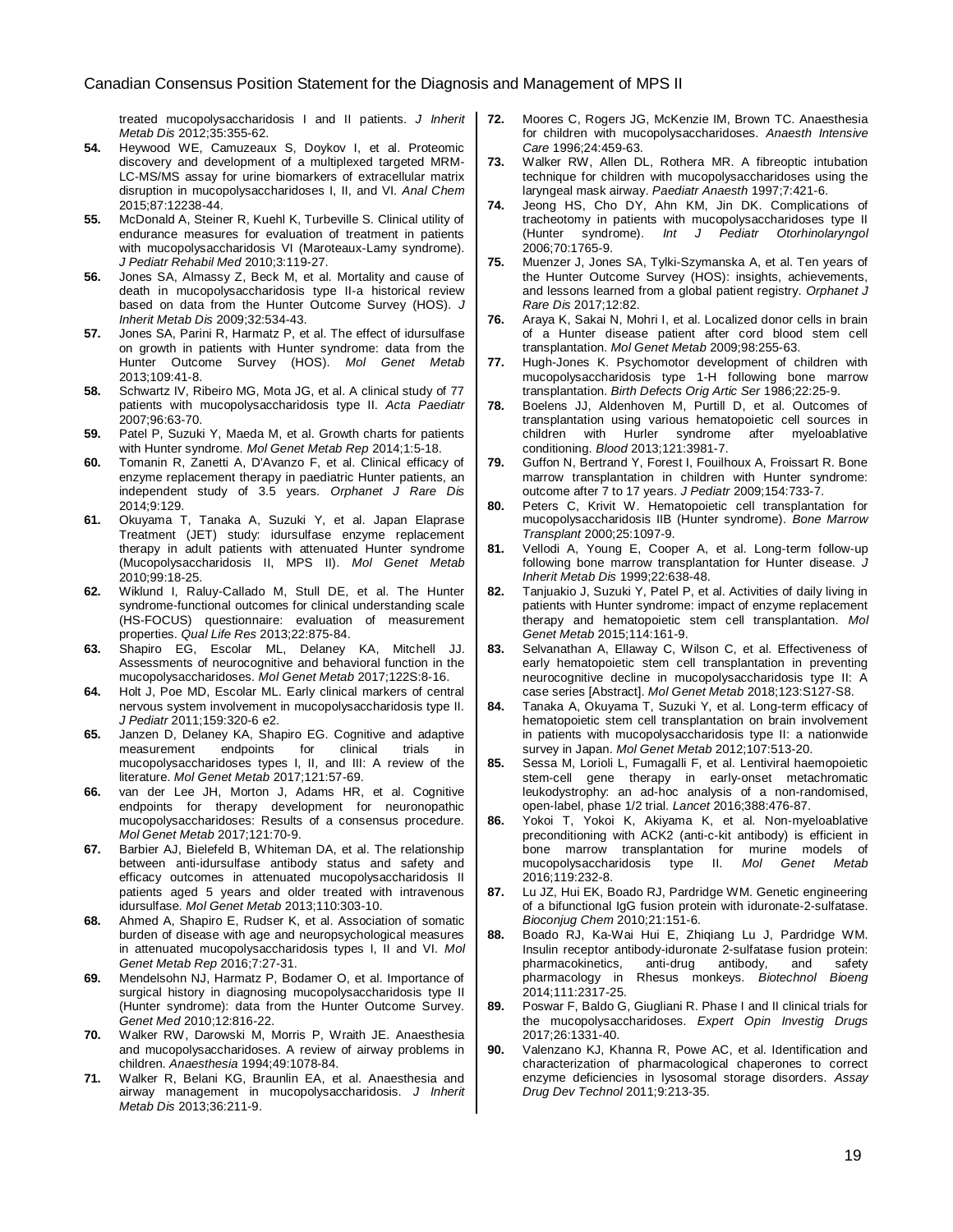treated mucopolysaccharidosis I and II patients. J Inherit Metab Dis 2012;35:355-62.

- <span id="page-18-21"></span><span id="page-18-0"></span>**54.** Heywood WE, Camuzeaux S, Doykov I, et al. Proteomic discovery and development of a multiplexed targeted MRM-LC-MS/MS assay for urine biomarkers of extracellular matrix disruption in mucopolysaccharidoses I, II, and VI. Anal Chem 2015;87:12238-44.
- <span id="page-18-1"></span>**55.** McDonald A, Steiner R, Kuehl K, Turbeville S. Clinical utility of endurance measures for evaluation of treatment in patients with mucopolysaccharidosis VI (Maroteaux-Lamy syndrome). J Pediatr Rehabil Med 2010;3:119-27.
- <span id="page-18-2"></span>**56.** Jones SA, Almassy Z, Beck M, et al. Mortality and cause of death in mucopolysaccharidosis type II-a historical review based on data from the Hunter Outcome Survey (HOS). J Inherit Metab Dis 2009;32:534-43.
- <span id="page-18-3"></span>**57.** Jones SA, Parini R, Harmatz P, et al. The effect of idursulfase on growth in patients with Hunter syndrome: data from the Hunter Outcome Survey (HOS). Mol Genet Metab 2013;109:41-8.
- <span id="page-18-4"></span>**58.** Schwartz IV, Ribeiro MG, Mota JG, et al. A clinical study of 77 patients with mucopolysaccharidosis type II. Acta Paediatr 2007;96:63-70.
- <span id="page-18-5"></span>**59.** Patel P, Suzuki Y, Maeda M, et al. Growth charts for patients with Hunter syndrome. Mol Genet Metab Rep 2014;1:5-18.
- <span id="page-18-6"></span>**60.** Tomanin R, Zanetti A, D'Avanzo F, et al. Clinical efficacy of enzyme replacement therapy in paediatric Hunter patients, an independent study of 3.5 years. Orphanet J Rare Dis 2014;9:129.
- <span id="page-18-7"></span>**61.** Okuyama T, Tanaka A, Suzuki Y, et al. Japan Elaprase Treatment (JET) study: idursulfase enzyme replacement therapy in adult patients with attenuated Hunter syndrome (Mucopolysaccharidosis II, MPS II). Mol Genet Metab 2010;99:18-25.
- <span id="page-18-8"></span>**62.** Wiklund I, Raluy-Callado M, Stull DE, et al. The Hunter syndrome-functional outcomes for clinical understanding scale (HS-FOCUS) questionnaire: evaluation of measurement properties. Qual Life Res 2013;22:875-84.
- <span id="page-18-9"></span>**63.** Shapiro EG, Escolar ML, Delaney KA, Mitchell JJ. Assessments of neurocognitive and behavioral function in the mucopolysaccharidoses. Mol Genet Metab 2017;122S:8-16.
- <span id="page-18-10"></span>**64.** Holt J, Poe MD, Escolar ML. Early clinical markers of central nervous system involvement in mucopolysaccharidosis type II. J Pediatr 2011;159:320-6 e2.
- <span id="page-18-11"></span>**65.** Janzen D, Delaney KA, Shapiro EG. Cognitive and adaptive measurement endpoints for clinical trials in mucopolysaccharidoses types I, II, and III: A review of the literature. Mol Genet Metab 2017;121:57-69.
- <span id="page-18-12"></span>**66.** van der Lee JH, Morton J, Adams HR, et al. Cognitive endpoints for therapy development for neuronopathic mucopolysaccharidoses: Results of a consensus procedure. Mol Genet Metab 2017;121:70-9.
- <span id="page-18-13"></span>**67.** Barbier AJ, Bielefeld B, Whiteman DA, et al. The relationship between anti-idursulfase antibody status and safety and efficacy outcomes in attenuated mucopolysaccharidosis II patients aged 5 years and older treated with intravenous idursulfase. Mol Genet Metab 2013;110:303-10.
- <span id="page-18-14"></span>**68.** Ahmed A, Shapiro E, Rudser K, et al. Association of somatic burden of disease with age and neuropsychological measures in attenuated mucopolysaccharidosis types I, II and VI. Mol Genet Metab Rep 2016;7:27-31.
- <span id="page-18-15"></span>**69.** Mendelsohn NJ, Harmatz P, Bodamer O, et al. Importance of surgical history in diagnosing mucopolysaccharidosis type II (Hunter syndrome): data from the Hunter Outcome Survey. Genet Med 2010;12:816-22.
- <span id="page-18-16"></span>**70.** Walker RW, Darowski M, Morris P, Wraith JE. Anaesthesia and mucopolysaccharidoses. A review of airway problems in children. Anaesthesia 1994;49:1078-84.
- <span id="page-18-17"></span>**71.** Walker R, Belani KG, Braunlin EA, et al. Anaesthesia and airway management in mucopolysaccharidosis. J Inherit Metab Dis 2013;36:211-9.
- <span id="page-18-18"></span>**72.** Moores C, Rogers JG, McKenzie IM, Brown TC. Anaesthesia for children with mucopolysaccharidoses. Anaesth Intensive Care 1996;24:459-63.
- <span id="page-18-19"></span>**73.** Walker RW, Allen DL, Rothera MR. A fibreoptic intubation technique for children with mucopolysaccharidoses using the laryngeal mask airway. Paediatr Anaesth 1997;7:421-6.
- <span id="page-18-20"></span>**74.** Jeong HS, Cho DY, Ahn KM, Jin DK. Complications of tracheotomy in patients with mucopolysaccharidoses type II (Hunter syndrome). Int J Pediatr Otorhinolaryngol 2006;70:1765-9.
- <span id="page-18-22"></span>**75.** Muenzer J, Jones SA, Tylki-Szymanska A, et al. Ten years of the Hunter Outcome Survey (HOS): insights, achievements, and lessons learned from a global patient registry. Orphanet J Rare Dis 2017;12:82.
- <span id="page-18-23"></span>**76.** Araya K, Sakai N, Mohri I, et al. Localized donor cells in brain of a Hunter disease patient after cord blood stem cell transplantation. Mol Genet Metab 2009;98:255-63.
- <span id="page-18-24"></span>**77.** Hugh-Jones K. Psychomotor development of children with mucopolysaccharidosis type 1-H following bone marrow transplantation. Birth Defects Orig Artic Ser 1986;22:25-9.
- <span id="page-18-25"></span>**78.** Boelens JJ, Aldenhoven M, Purtill D, et al. Outcomes of transplantation using various hematopoietic cell sources in children with Hurler syndrome after myeloablative conditioning. Blood 2013;121:3981-7.
- <span id="page-18-26"></span>**79.** Guffon N, Bertrand Y, Forest I, Fouilhoux A, Froissart R. Bone marrow transplantation in children with Hunter syndrome: outcome after 7 to 17 years. J Pediatr 2009;154:733-7.
- <span id="page-18-27"></span>**80.** Peters C, Krivit W. Hematopoietic cell transplantation for mucopolysaccharidosis IIB (Hunter syndrome). Bone Marrow Transplant 2000;25:1097-9.
- <span id="page-18-28"></span>**81.** Vellodi A, Young E, Cooper A, et al. Long-term follow-up following bone marrow transplantation for Hunter disease. J Inherit Metab Dis 1999;22:638-48.
- <span id="page-18-29"></span>**82.** Tanjuakio J, Suzuki Y, Patel P, et al. Activities of daily living in patients with Hunter syndrome: impact of enzyme replacement therapy and hematopoietic stem cell transplantation. Mol Genet Metab 2015;114:161-9.
- <span id="page-18-30"></span>**83.** Selvanathan A, Ellaway C, Wilson C, et al. Effectiveness of early hematopoietic stem cell transplantation in preventing neurocognitive decline in mucopolysaccharidosis type II: A case series [Abstract]. Mol Genet Metab 2018;123:S127-S8.
- <span id="page-18-31"></span>**84.** Tanaka A, Okuyama T, Suzuki Y, et al. Long-term efficacy of hematopoietic stem cell transplantation on brain involvement in patients with mucopolysaccharidosis type II: a nationwide survey in Japan. Mol Genet Metab 2012;107:513-20.
- <span id="page-18-32"></span>**85.** Sessa M, Lorioli L, Fumagalli F, et al. Lentiviral haemopoietic stem-cell gene therapy in early-onset metachromatic leukodystrophy: an ad-hoc analysis of a non-randomised, open-label, phase 1/2 trial. Lancet 2016;388:476-87.
- <span id="page-18-33"></span>**86.** Yokoi T, Yokoi K, Akiyama K, et al. Non-myeloablative preconditioning with ACK2 (anti-c-kit antibody) is efficient in bone marrow transplantation for murine models of mucopolysaccharidosis type II. Mol Genet Metab mucopolysaccharidosis type II. Mol Genet 2016;119:232-8.
- <span id="page-18-34"></span>**87.** Lu JZ, Hui EK, Boado RJ, Pardridge WM. Genetic engineering of a bifunctional IgG fusion protein with iduronate-2-sulfatase. Bioconjug Chem 2010;21:151-6.
- <span id="page-18-35"></span>**88.** Boado RJ, Ka-Wai Hui E, Zhiqiang Lu J, Pardridge WM. Insulin receptor antibody-iduronate 2-sulfatase fusion protein: pharmacokinetics, anti-drug antibody, and safety Rhesus monkeys. Biotechnol Bioeng pharmacology in<br>2014;111:2317-25.
- <span id="page-18-36"></span>**89.** Poswar F, Baldo G, Giugliani R. Phase I and II clinical trials for the mucopolysaccharidoses. Expert Opin Investig Drugs 2017;26:1331-40.
- <span id="page-18-37"></span>**90.** Valenzano KJ, Khanna R, Powe AC, et al. Identification and characterization of pharmacological chaperones to correct enzyme deficiencies in lysosomal storage disorders. Assay Drug Dev Technol 2011;9:213-35.